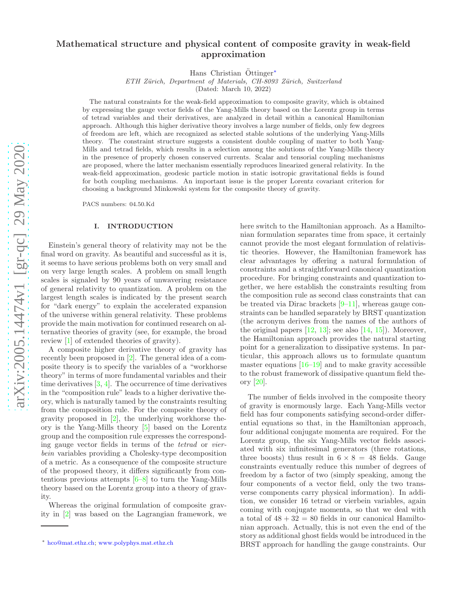# arXiv:2005.14474v1 [gr-qc] 29 May 2020 [arXiv:2005.14474v1 \[gr-qc\] 29 May 2020](http://arxiv.org/abs/2005.14474v1)

# Mathematical structure and physical content of composite gravity in weak-field approximation

Hans Christian  $Öttinger*$ 

ETH Zürich, Department of Materials, CH-8093 Zürich, Switzerland

(Dated: March 10, 2022)

The natural constraints for the weak-field approximation to composite gravity, which is obtained by expressing the gauge vector fields of the Yang-Mills theory based on the Lorentz group in terms of tetrad variables and their derivatives, are analyzed in detail within a canonical Hamiltonian approach. Although this higher derivative theory involves a large number of fields, only few degrees of freedom are left, which are recognized as selected stable solutions of the underlying Yang-Mills theory. The constraint structure suggests a consistent double coupling of matter to both Yang-Mills and tetrad fields, which results in a selection among the solutions of the Yang-Mills theory in the presence of properly chosen conserved currents. Scalar and tensorial coupling mechanisms are proposed, where the latter mechanism essentially reproduces linearized general relativity. In the weak-field approximation, geodesic particle motion in static isotropic gravitational fields is found for both coupling mechanisms. An important issue is the proper Lorentz covariant criterion for choosing a background Minkowski system for the composite theory of gravity.

PACS numbers: 04.50.Kd

### I. INTRODUCTION

Einstein's general theory of relativity may not be the final word on gravity. As beautiful and successful as it is, it seems to have serious problems both on very small and on very large length scales. A problem on small length scales is signaled by 90 years of unwavering resistance of general relativity to quantization. A problem on the largest length scales is indicated by the present search for "dark energy" to explain the accelerated expansion of the universe within general relativity. These problems provide the main motivation for continued research on alternative theories of gravity (see, for example, the broad review [\[1](#page-15-0)] of extended theories of gravity).

A composite higher derivative theory of gravity has recently been proposed in [\[2](#page-15-1)]. The general idea of a composite theory is to specify the variables of a "workhorse theory" in terms of more fundamental variables and their time derivatives  $[3, 4]$  $[3, 4]$ . The occurrence of time derivatives in the "composition rule" leads to a higher derivative theory, which is naturally tamed by the constraints resulting from the composition rule. For the composite theory of gravity proposed in [\[2\]](#page-15-1), the underlying workhorse theory is the Yang-Mills theory [\[5](#page-15-4)] based on the Lorentz group and the composition rule expresses the corresponding gauge vector fields in terms of the tetrad or vierbein variables providing a Cholesky-type decomposition of a metric. As a consequence of the composite structure of the proposed theory, it differs significantly from contentious previous attempts [\[6](#page-15-5)[–8\]](#page-15-6) to turn the Yang-Mills theory based on the Lorentz group into a theory of gravity.

Whereas the original formulation of composite gravity in [\[2\]](#page-15-1) was based on the Lagrangian framework, we here switch to the Hamiltonian approach. As a Hamiltonian formulation separates time from space, it certainly cannot provide the most elegant formulation of relativistic theories. However, the Hamiltonian framework has clear advantages by offering a natural formulation of constraints and a straightforward canonical quantization procedure. For bringing constraints and quantization together, we here establish the constraints resulting from the composition rule as second class constraints that can be treated via Dirac brackets [\[9](#page-15-7)[–11\]](#page-15-8), whereas gauge constraints can be handled separately by BRST quantization (the acronym derives from the names of the authors of the original papers  $[12, 13]$  $[12, 13]$  $[12, 13]$ ; see also  $[14, 15]$  $[14, 15]$ ). Moreover, the Hamiltonian approach provides the natural starting point for a generalization to dissipative systems. In particular, this approach allows us to formulate quantum master equations  $[16-19]$  and to make gravity accessible to the robust framework of dissipative quantum field theory [\[20](#page-15-15)].

The number of fields involved in the composite theory of gravity is enormously large. Each Yang-Mills vector field has four components satisfying second-order differential equations so that, in the Hamiltonian approach, four additional conjugate momenta are required. For the Lorentz group, the six Yang-Mills vector fields associated with six infinitesimal generators (three rotations, three boosts) thus result in  $6 \times 8 = 48$  fields. Gauge constraints eventually reduce this number of degrees of freedom by a factor of two (simply speaking, among the four components of a vector field, only the two transverse components carry physical information). In addition, we consider 16 tetrad or vierbein variables, again coming with conjugate momenta, so that we deal with a total of  $48 + 32 = 80$  fields in our canonical Hamiltonian approach. Actually, this is not even the end of the story as additional ghost fields would be introduced in the BRST approach for handling the gauge constraints. Our

<span id="page-0-0"></span><sup>∗</sup> [hco@mat.ethz.ch;](mailto:hco@mat.ethz.ch) <www.polyphys.mat.ethz.ch>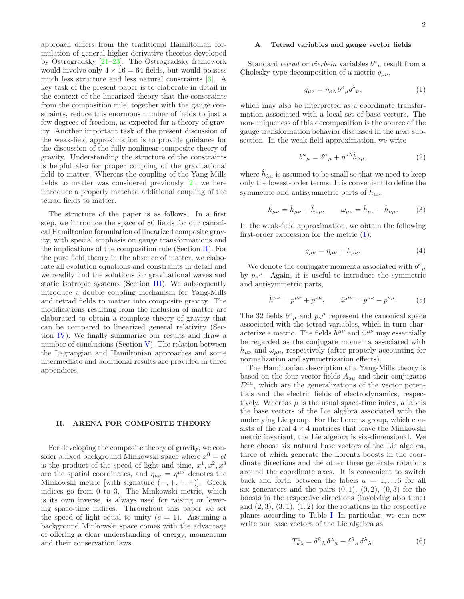approach differs from the traditional Hamiltonian formulation of general higher derivative theories developed by Ostrogradsky [\[21](#page-15-16)[–23\]](#page-15-17). The Ostrogradsky framework would involve only  $4 \times 16 = 64$  fields, but would possess much less structure and less natural constraints [\[3](#page-15-2)]. A key task of the present paper is to elaborate in detail in the context of the linearized theory that the constraints from the composition rule, together with the gauge constraints, reduce this enormous number of fields to just a few degrees of freedom, as expected for a theory of gravity. Another important task of the present discussion of the weak-field approximation is to provide guidance for the discussion of the fully nonlinear composite theory of gravity. Understanding the structure of the constraints is helpful also for proper coupling of the gravitational field to matter. Whereas the coupling of the Yang-Mills fields to matter was considered previously [\[2\]](#page-15-1), we here introduce a properly matched additional coupling of the tetrad fields to matter.

The structure of the paper is as follows. In a first step, we introduce the space of 80 fields for our canonical Hamiltonian formulation of linearized composite gravity, with special emphasis on gauge transformations and the implications of the composition rule (Section [II\)](#page-1-0). For the pure field theory in the absence of matter, we elaborate all evolution equations and constraints in detail and we readily find the solutions for gravitational waves and static isotropic systems (Section [III\)](#page-3-0). We subsequently introduce a double coupling mechanism for Yang-Mills and tetrad fields to matter into composite gravity. The modifications resulting from the inclusion of matter are elaborated to obtain a complete theory of gravity that can be compared to linearized general relativity (Section [IV\)](#page-6-0). We finally summarize our results and draw a number of conclusions (Section  $V$ ). The relation between the Lagrangian and Hamiltonian approaches and some intermediate and additional results are provided in three appendices.

### <span id="page-1-0"></span>II. ARENA FOR COMPOSITE THEORY

For developing the composite theory of gravity, we consider a fixed background Minkowski space where  $x^0 = ct$ is the product of the speed of light and time,  $x^1, x^2, x^3$ are the spatial coordinates, and  $\eta_{\mu\nu} = \eta^{\mu\nu}$  denotes the Minkowski metric [with signature  $(-, +, +, +)$ ]. Greek indices go from 0 to 3. The Minkowski metric, which is its own inverse, is always used for raising or lowering space-time indices. Throughout this paper we set the speed of light equal to unity  $(c = 1)$ . Assuming a background Minkowski space comes with the advantage of offering a clear understanding of energy, momentum and their conservation laws.

# A. Tetrad variables and gauge vector fields

Standard *tetrad* or *vierbein* variables  $b^{\kappa}{}_{\mu}$  result from a Cholesky-type decomposition of a metric  $g_{\mu\nu}$ ,

<span id="page-1-1"></span>
$$
g_{\mu\nu} = \eta_{\kappa\lambda} b^{\kappa}{}_{\mu} b^{\lambda}{}_{\nu},\tag{1}
$$

which may also be interpreted as a coordinate transformation associated with a local set of base vectors. The non-uniqueness of this decomposition is the source of the gauge transformation behavior discussed in the next subsection. In the weak-field approximation, we write

<span id="page-1-2"></span>
$$
b^{\kappa}{}_{\mu} = \delta^{\kappa}{}_{\mu} + \eta^{\kappa\lambda} \hat{h}{}_{\lambda\mu},\tag{2}
$$

where  $\hat{h}_{\lambda\mu}$  is assumed to be small so that we need to keep only the lowest-order terms. It is convenient to define the symmetric and antisymmetric parts of  $\hat{h}_{\mu\nu}$ ,

$$
h_{\mu\nu} = \hat{h}_{\mu\nu} + \hat{h}_{\nu\mu}, \qquad \omega_{\mu\nu} = \hat{h}_{\mu\nu} - \hat{h}_{\nu\mu}.
$$
 (3)

In the weak-field approximation, we obtain the following first-order expression for the metric [\(1\)](#page-1-1),

$$
g_{\mu\nu} = \eta_{\mu\nu} + h_{\mu\nu}.\tag{4}
$$

We denote the conjugate momenta associated with  $b^{\kappa}{}_{\mu}$ by  $p_{\kappa}^{\mu}$ . Again, it is useful to introduce the symmetric and antisymmetric parts,

$$
\tilde{h}^{\mu\nu} = p^{\mu\nu} + p^{\nu\mu}, \qquad \tilde{\omega}^{\mu\nu} = p^{\mu\nu} - p^{\nu\mu}.
$$
 (5)

The 32 fields  $b^{\kappa}{}_{\mu}$  and  $p_{\kappa}{}^{\mu}$  represent the canonical space associated with the tetrad variables, which in turn characterize a metric. The fields  $\tilde{h}^{\mu\nu}$  and  $\tilde{\omega}^{\mu\nu}$  may essentially be regarded as the conjugate momenta associated with  $h_{\mu\nu}$  and  $\omega_{\mu\nu}$ , respectively (after properly accounting for normalization and symmetrization effects).

The Hamiltonian description of a Yang-Mills theory is based on the four-vector fields  $A_{a\mu}$  and their conjugates  $E^{a\mu}$ , which are the generalizations of the vector potentials and the electric fields of electrodynamics, respectively. Whereas  $\mu$  is the usual space-time index,  $\alpha$  labels the base vectors of the Lie algebra associated with the underlying Lie group. For the Lorentz group, which consists of the real  $4 \times 4$  matrices that leave the Minkowski metric invariant, the Lie algebra is six-dimensional. We here choose six natural base vectors of the Lie algebra, three of which generate the Lorentz boosts in the coordinate directions and the other three generate rotations around the coordinate axes. It is convenient to switch back and forth between the labels  $a = 1, \ldots 6$  for all six generators and the pairs  $(0, 1)$ ,  $(0, 2)$ ,  $(0, 3)$  for the boosts in the respective directions (involving also time) and  $(2, 3), (3, 1), (1, 2)$  for the rotations in the respective planes according to Table [I.](#page-2-0) In particular, we can now write our base vectors of the Lie algebra as

<span id="page-1-3"></span>
$$
T^{a}_{\kappa\lambda} = \delta^{\tilde{\kappa}}{}_{\lambda} \delta^{\tilde{\lambda}}{}_{\kappa} - \delta^{\tilde{\kappa}}{}_{\kappa} \delta^{\tilde{\lambda}}{}_{\lambda}.
$$
 (6)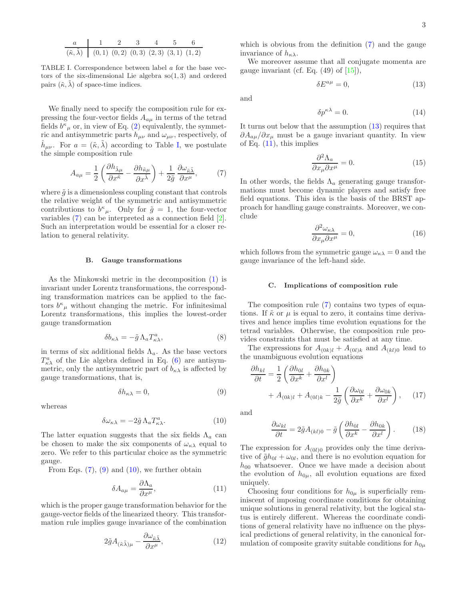<span id="page-2-0"></span>
$$
\begin{array}{c|cccc}\n a & 1 & 2 & 3 & 4 & 5 & 6 \\
\hline\n (6, \tilde{\lambda}) & (0, 1) & (0, 2) & (0, 3) & (2, 3) & (3, 1) & (1, 2)\n \end{array}
$$

TABLE I. Correspondence between label a for the base vectors of the six-dimensional Lie algebra  $so(1, 3)$  and ordered pairs  $(\tilde{\kappa}, \tilde{\lambda})$  of space-time indices.

We finally need to specify the composition rule for expressing the four-vector fields  $A_{a\mu}$  in terms of the tetrad fields  $b^{\kappa}{}_{\mu}$  or, in view of Eq. [\(2\)](#page-1-2) equivalently, the symmetric and antisymmetric parts  $h_{\mu\nu}$  and  $\omega_{\mu\nu}$ , respectively, of  $\hat{h}_{\mu\nu}$ . For  $a = (\tilde{\kappa}, \tilde{\lambda})$  according to Table [I,](#page-2-0) we postulate the simple composition rule

<span id="page-2-1"></span>
$$
A_{a\mu} = \frac{1}{2} \left( \frac{\partial h_{\tilde{\lambda}\mu}}{\partial x^{\tilde{\kappa}}} - \frac{\partial h_{\tilde{\kappa}\mu}}{\partial x^{\tilde{\lambda}}} \right) + \frac{1}{2\tilde{g}} \frac{\partial \omega_{\tilde{\kappa}\tilde{\lambda}}}{\partial x^{\mu}},\tag{7}
$$

where  $\tilde{q}$  is a dimensionless coupling constant that controls the relative weight of the symmetric and antisymmetric contributions to  $b^{\kappa}{}_{\mu}$ . Only for  $\tilde{g} = 1$ , the four-vector variables [\(7\)](#page-2-1) can be interpreted as a connection field [\[2\]](#page-15-1). Such an interpretation would be essential for a closer relation to general relativity.

### B. Gauge transformations

As the Minkowski metric in the decomposition [\(1\)](#page-1-1) is invariant under Lorentz transformations, the corresponding transformation matrices can be applied to the factors  $b^{\kappa}{}_{\mu}$  without changing the metric. For infinitesimal Lorentz transformations, this implies the lowest-order gauge transformation

$$
\delta b_{\kappa\lambda} = -\tilde{g}\,\Lambda_a T^a_{\kappa\lambda},\tag{8}
$$

in terms of six additional fields  $\Lambda_a$ . As the base vectors  $T_{\kappa\lambda}^a$  of the Lie algebra defined in Eq. [\(6\)](#page-1-3) are antisymmetric, only the antisymmetric part of  $b_{\kappa\lambda}$  is affected by gauge transformations, that is,

<span id="page-2-2"></span>
$$
\delta h_{\kappa\lambda} = 0,\tag{9}
$$

whereas

<span id="page-2-3"></span>
$$
\delta\omega_{\kappa\lambda} = -2\tilde{g}\,\Lambda_a T^a_{\kappa\lambda}.\tag{10}
$$

The latter equation suggests that the six fields  $\Lambda_a$  can be chosen to make the six components of  $\omega_{\kappa\lambda}$  equal to zero. We refer to this particular choice as the symmetric gauge.

From Eqs.  $(7)$ ,  $(9)$  and  $(10)$ , we further obtain

<span id="page-2-5"></span>
$$
\delta A_{a\mu} = \frac{\partial \Lambda_a}{\partial x^{\mu}},\tag{11}
$$

which is the proper gauge transformation behavior for the gauge-vector fields of the linearized theory. This transformation rule implies gauge invariance of the combination

$$
2\tilde{g}A_{(\tilde{\kappa}\tilde{\lambda})\mu} - \frac{\partial \omega_{\tilde{\kappa}\tilde{\lambda}}}{\partial x^{\mu}},\tag{12}
$$

which is obvious from the definition [\(7\)](#page-2-1) and the gauge invariance of  $h_{\kappa\lambda}$ .

We moreover assume that all conjugate momenta are gauge invariant (cf. Eq.  $(49)$  of  $[15]$ ),

<span id="page-2-4"></span>
$$
\delta E^{a\mu} = 0,\tag{13}
$$

and

$$
\delta p^{\kappa \lambda} = 0. \tag{14}
$$

It turns out below that the assumption [\(13\)](#page-2-4) requires that  $\partial A_{a\mu}/\partial x_{\mu}$  must be a gauge invariant quantity. In view of Eq.  $(11)$ , this implies

<span id="page-2-8"></span>
$$
\frac{\partial^2 \Lambda_a}{\partial x_\mu \partial x^\mu} = 0.
$$
 (15)

In other words, the fields  $\Lambda_a$  generating gauge transformations must become dynamic players and satisfy free field equations. This idea is the basis of the BRST approach for handling gauge constraints. Moreover, we conclude

<span id="page-2-9"></span>
$$
\frac{\partial^2 \omega_{\kappa\lambda}}{\partial x_\mu \partial x^\mu} = 0, \tag{16}
$$

which follows from the symmetric gauge  $\omega_{\kappa\lambda} = 0$  and the gauge invariance of the left-hand side.

### C. Implications of composition rule

The composition rule [\(7\)](#page-2-1) contains two types of equations. If  $\tilde{\kappa}$  or  $\mu$  is equal to zero, it contains time derivatives and hence implies time evolution equations for the tetrad variables. Otherwise, the composition rule provides constraints that must be satisfied at any time.

The expressions for  $A_{(0k)l} + A_{(0l)k}$  and  $A_{(kl)0}$  lead to the unambiguous evolution equations

<span id="page-2-6"></span>
$$
\frac{\partial h_{kl}}{\partial t} = \frac{1}{2} \left( \frac{\partial h_{0l}}{\partial x^k} + \frac{\partial h_{0k}}{\partial x^l} \right) + A_{(0k)l} + A_{(0l)k} - \frac{1}{2\tilde{g}} \left( \frac{\partial \omega_{0l}}{\partial x^k} + \frac{\partial \omega_{0k}}{\partial x^l} \right), \quad (17)
$$

and

<span id="page-2-7"></span>
$$
\frac{\partial \omega_{kl}}{\partial t} = 2\tilde{g}A_{(kl)0} - \tilde{g}\left(\frac{\partial h_{0l}}{\partial x^k} - \frac{\partial h_{0k}}{\partial x^l}\right). \tag{18}
$$

The expression for  $A_{(0l)0}$  provides only the time derivative of  $\tilde{g}h_{0l} + \omega_{0l}$ , and there is no evolution equation for  $h_{00}$  whatsoever. Once we have made a decision about the evolution of  $h_{0\mu}$ , all evolution equations are fixed uniquely.

Choosing four conditions for  $h_{0\mu}$  is superficially reminiscent of imposing coordinate conditions for obtaining unique solutions in general relativity, but the logical status is entirely different. Whereas the coordinate conditions of general relativity have no influence on the physical predictions of general relativity, in the canonical formulation of composite gravity suitable conditions for  $h_{0\mu}$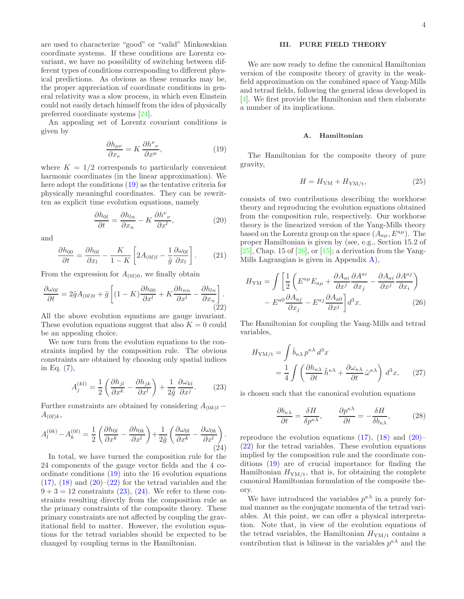are used to characterize "good" or "valid" Minkowskian coordinate systems. If these conditions are Lorentz covariant, we have no possibility of switching between different types of conditions corresponding to different physical predictions. As obvious as these remarks may be, the proper appreciation of coordinate conditions in general relativity was a slow process, in which even Einstein could not easily detach himself from the idea of physically preferred coordinate systems [\[24](#page-15-18)].

An appealing set of Lorentz covariant conditions is given by

<span id="page-3-1"></span>
$$
\frac{\partial h_{\mu\nu}}{\partial x_{\nu}} = K \frac{\partial h^{\nu}_{\ \nu}}{\partial x^{\mu}},\tag{19}
$$

where  $K = 1/2$  corresponds to particularly convenient harmonic coordinates (in the linear approximation). We here adopt the conditions [\(19\)](#page-3-1) as the tentative criteria for physically meaningful coordinates. They can be rewritten as explicit time evolution equations, namely

<span id="page-3-2"></span>
$$
\frac{\partial h_{0l}}{\partial t} = \frac{\partial h_{ln}}{\partial x_n} - K \frac{\partial h^{\nu}_{\ \nu}}{\partial x^l},\tag{20}
$$

and

<span id="page-3-9"></span>
$$
\frac{\partial h_{00}}{\partial t} = \frac{\partial h_{0l}}{\partial x_l} - \frac{K}{1 - K} \left[ 2A_{(0l)l} - \frac{1}{\tilde{g}} \frac{\partial \omega_{0l}}{\partial x_l} \right].
$$
 (21)

From the expression for  $A_{(0l)0}$ , we finally obtain

<span id="page-3-3"></span>
$$
\frac{\partial \omega_{0l}}{\partial t} = 2\tilde{g}A_{(0l)0} + \tilde{g}\left[ (1 - K)\frac{\partial h_{00}}{\partial x^l} + K \frac{\partial h_{nn}}{\partial x^l} - \frac{\partial h_{ln}}{\partial x_n} \right].
$$
\n(22)

All the above evolution equations are gauge invariant. These evolution equations suggest that also  $K = 0$  could be an appealing choice.

We now turn from the evolution equations to the constraints implied by the composition rule. The obvious constraints are obtained by choosing only spatial indices in Eq. [\(7\)](#page-2-1),

<span id="page-3-4"></span>
$$
A_j^{(kl)} = \frac{1}{2} \left( \frac{\partial h_{jl}}{\partial x^k} - \frac{\partial h_{jk}}{\partial x^l} \right) + \frac{1}{2\tilde{g}} \frac{\partial \omega_{kl}}{\partial x^j}.
$$
 (23)

Further constraints are obtained by considering  $A_{(0k)l}$  –  $A_{(0l)k},$ 

<span id="page-3-5"></span>
$$
A_l^{(0k)} - A_k^{(0l)} = \frac{1}{2} \left( \frac{\partial h_{0l}}{\partial x^k} - \frac{\partial h_{0k}}{\partial x^l} \right) + \frac{1}{2\tilde{g}} \left( \frac{\partial \omega_{0l}}{\partial x^k} - \frac{\partial \omega_{0k}}{\partial x^l} \right). \tag{24}
$$

In total, we have turned the composition rule for the 24 components of the gauge vector fields and the 4 coordinate conditions [\(19\)](#page-3-1) into the 16 evolution equations  $(17)$ ,  $(18)$  and  $(20)$ – $(22)$  for the tetrad variables and the  $9 + 3 = 12$  constraints  $(23)$ ,  $(24)$ . We refer to these constraints resulting directly from the composition rule as the primary constraints of the composite theory. These primary constraints are not affected by coupling the gravitational field to matter. However, the evolution equations for the tetrad variables should be expected to be changed by coupling terms in the Hamiltonian.

# <span id="page-3-0"></span>III. PURE FIELD THEORY

We are now ready to define the canonical Hamiltonian version of the composite theory of gravity in the weakfield approximation on the combined space of Yang-Mills and tetrad fields, following the general ideas developed in [\[4\]](#page-15-3). We first provide the Hamiltonian and then elaborate a number of its implications.

# A. Hamiltonian

The Hamiltonian for the composite theory of pure gravity,

<span id="page-3-8"></span>
$$
H = H_{\rm YM} + H_{\rm YM/t},\tag{25}
$$

consists of two contributions describing the workhorse theory and reproducing the evolution equations obtained from the composition rule, respectively. Our workhorse theory is the linearized version of the Yang-Mills theory based on the Lorentz group on the space  $(A_{au}, E^{a\mu})$ . The proper Hamiltonian is given by (see, e.g., Section 15.2 of  $[25]$ , Chap. 15 of  $[26]$ , or  $[15]$ ; a derivation from the Yang-Mills Lagrangian is given in Appendix [A\)](#page-12-0),

<span id="page-3-10"></span>
$$
H_{\rm YM} = \int \left[ \frac{1}{2} \left( E^{a\mu} E_{a\mu} + \frac{\partial A_{ai}}{\partial x^j} \frac{\partial A^{ai}}{\partial x_j} - \frac{\partial A_{ai}}{\partial x^j} \frac{\partial A^{aj}}{\partial x_i} \right) - E^{a0} \frac{\partial A_{aj}}{\partial x_j} - E^{aj} \frac{\partial A_{a0}}{\partial x^j} \right] d^3 x.
$$
 (26)

The Hamiltonian for coupling the Yang-Mills and tetrad variables,

<span id="page-3-7"></span>
$$
H_{\rm YM/t} = \int \dot{b}_{\kappa\lambda} p^{\kappa\lambda} d^3 x
$$
  
= 
$$
\frac{1}{4} \int \left( \frac{\partial h_{\kappa\lambda}}{\partial t} \tilde{h}^{\kappa\lambda} + \frac{\partial \omega_{\kappa\lambda}}{\partial t} \tilde{\omega}^{\kappa\lambda} \right) d^3 x,
$$
 (27)

is chosen such that the canonical evolution equations

<span id="page-3-6"></span>
$$
\frac{\partial b_{\kappa\lambda}}{\partial t} = \frac{\delta H}{\delta p^{\kappa\lambda}}, \qquad \frac{\partial p^{\kappa\lambda}}{\partial t} = -\frac{\delta H}{\delta b_{\kappa\lambda}}, \tag{28}
$$

reproduce the evolution equations  $(17)$ ,  $(18)$  and  $(20)$ – [\(22\)](#page-3-3) for the tetrad variables. These evolution equations implied by the composition rule and the coordinate conditions [\(19\)](#page-3-1) are of crucial importance for finding the Hamiltonian  $H_{\text{YM/t}}$ , that is, for obtaining the complete canonical Hamiltonian formulation of the composite theory.

We have introduced the variables  $p^{\kappa \lambda}$  in a purely formal manner as the conjugate momenta of the tetrad variables. At this point, we can offer a physical interpretation. Note that, in view of the evolution equations of the tetrad variables, the Hamiltonian  $H_{\text{YM/t}}$  contains a contribution that is bilinear in the variables  $p^{\kappa \lambda}$  and the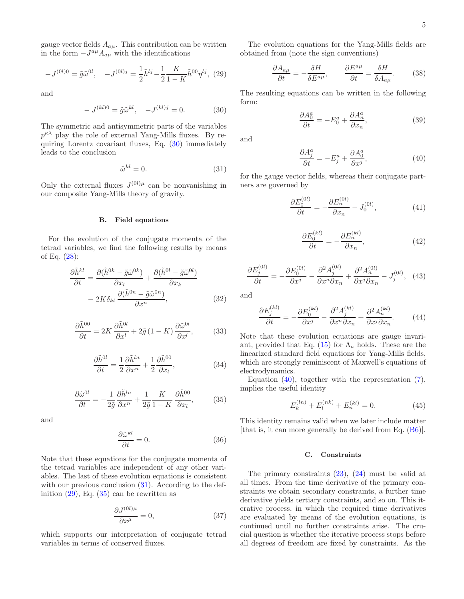gauge vector fields  $A_{a\mu}$ . This contribution can be written in the form  $-J^{a\mu}A_{a\mu}$  with the identifications

<span id="page-4-2"></span>
$$
-J^{(0l)0} = \tilde{g}\tilde{\omega}^{0l}, \quad -J^{(0l)j} = \frac{1}{2}\tilde{h}^{lj} - \frac{1}{2}\frac{K}{1-K}\tilde{h}^{00}\eta^{lj}, \tag{29}
$$

and

<span id="page-4-0"></span>
$$
-J^{(kl)0} = \tilde{g}\tilde{\omega}^{kl}, \quad -J^{(kl)j} = 0.
$$
 (30)

The symmetric and antisymmetric parts of the variables  $p^{\kappa\lambda}$  play the role of external Yang-Mills fluxes. By requiring Lorentz covariant fluxes, Eq. [\(30\)](#page-4-0) immediately leads to the conclusion

<span id="page-4-1"></span>
$$
\tilde{\omega}^{kl} = 0. \tag{31}
$$

Only the external fluxes  $J^{(0l)\mu}$  can be nonvanishing in our composite Yang-Mills theory of gravity.

# B. Field equations

For the evolution of the conjugate momenta of the tetrad variables, we find the following results by means of Eq.  $(28)$ :

<span id="page-4-9"></span>
$$
\frac{\partial \tilde{h}^{kl}}{\partial t} = \frac{\partial (\tilde{h}^{0k} - \tilde{g}\tilde{\omega}^{0k})}{\partial x_l} + \frac{\partial (\tilde{h}^{0l} - \tilde{g}\tilde{\omega}^{0l})}{\partial x_k} - 2K\delta_{kl} \frac{\partial (\tilde{h}^{0n} - \tilde{g}\tilde{\omega}^{0n})}{\partial x^n},
$$
(32)

$$
\frac{\partial \tilde{h}^{00}}{\partial t} = 2K \frac{\partial \tilde{h}^{0l}}{\partial x^l} + 2\tilde{g} \left(1 - K\right) \frac{\partial \tilde{\omega}^{0l}}{\partial x^l},\tag{33}
$$

<span id="page-4-13"></span>
$$
\frac{\partial \tilde{h}^{0l}}{\partial t} = \frac{1}{2} \frac{\partial \tilde{h}^{ln}}{\partial x^n} + \frac{1}{2} \frac{\partial \tilde{h}^{00}}{\partial x_l},\tag{34}
$$

<span id="page-4-3"></span>
$$
\frac{\partial \tilde{\omega}^{0l}}{\partial t} = -\frac{1}{2\tilde{g}} \frac{\partial \tilde{h}^{ln}}{\partial x^n} + \frac{1}{2\tilde{g}} \frac{K}{1 - K} \frac{\partial \tilde{h}^{00}}{\partial x_l},\tag{35}
$$

and

<span id="page-4-10"></span>
$$
\frac{\partial \tilde{\omega}^{kl}}{\partial t} = 0. \tag{36}
$$

Note that these equations for the conjugate momenta of the tetrad variables are independent of any other variables. The last of these evolution equations is consistent with our previous conclusion  $(31)$ . According to the definition  $(29)$ , Eq.  $(35)$  can be rewritten as

$$
\frac{\partial J^{(0l)\mu}}{\partial x^{\mu}} = 0,\t\t(37)
$$

which supports our interpretation of conjugate tetrad variables in terms of conserved fluxes.

The evolution equations for the Yang-Mills fields are obtained from (note the sign conventions)

$$
\frac{\partial A_{a\mu}}{\partial t} = -\frac{\delta H}{\delta E^{a\mu}}, \qquad \frac{\partial E^{a\mu}}{\partial t} = \frac{\delta H}{\delta A_{a\mu}}.
$$
 (38)

The resulting equations can be written in the following form:

<span id="page-4-8"></span>
$$
\frac{\partial A_0^a}{\partial t} = -E_0^a + \frac{\partial A_n^a}{\partial x_n},\tag{39}
$$

and

<span id="page-4-4"></span>
$$
\frac{\partial A_j^a}{\partial t} = -E_j^a + \frac{\partial A_0^a}{\partial x^j},\tag{40}
$$

for the gauge vector fields, whereas their conjugate partners are governed by

<span id="page-4-11"></span>
$$
\frac{\partial E_0^{(0l)}}{\partial t} = -\frac{\partial E_n^{(0l)}}{\partial x_n} - J_0^{(0l)},\tag{41}
$$

<span id="page-4-6"></span>
$$
\frac{\partial E_0^{(kl)}}{\partial t} = -\frac{\partial E_n^{(kl)}}{\partial x_n},\tag{42}
$$

<span id="page-4-12"></span>
$$
\frac{\partial E_j^{(0l)}}{\partial t} = -\frac{\partial E_0^{(0l)}}{\partial x^j} - \frac{\partial^2 A_j^{(0l)}}{\partial x^n \partial x_n} + \frac{\partial^2 A_n^{(0l)}}{\partial x^j \partial x_n} - J_j^{(0l)}, \quad (43)
$$

and

<span id="page-4-7"></span>
$$
\frac{\partial E_j^{(kl)}}{\partial t} = -\frac{\partial E_0^{(kl)}}{\partial x^j} - \frac{\partial^2 A_j^{(kl)}}{\partial x^n \partial x_n} + \frac{\partial^2 A_n^{(kl)}}{\partial x^j \partial x_n}.
$$
 (44)

Note that these evolution equations are gauge invari-ant, provided that Eq. [\(15\)](#page-2-8) for  $\Lambda_a$  holds. These are the linearized standard field equations for Yang-Mills fields, which are strongly reminiscent of Maxwell's equations of electrodynamics.

Equation  $(40)$ , together with the representation  $(7)$ , implies the useful identity

<span id="page-4-5"></span>
$$
E_k^{(ln)} + E_l^{(nk)} + E_n^{(kl)} = 0.
$$
 (45)

This identity remains valid when we later include matter [that is, it can more generally be derived from Eq. [\(B6\)](#page-13-0)].

### C. Constraints

The primary constraints  $(23)$ ,  $(24)$  must be valid at all times. From the time derivative of the primary constraints we obtain secondary constraints, a further time derivative yields tertiary constraints, and so on. This iterative process, in which the required time derivatives are evaluated by means of the evolution equations, is continued until no further constraints arise. The crucial question is whether the iterative process stops before all degrees of freedom are fixed by constraints. As the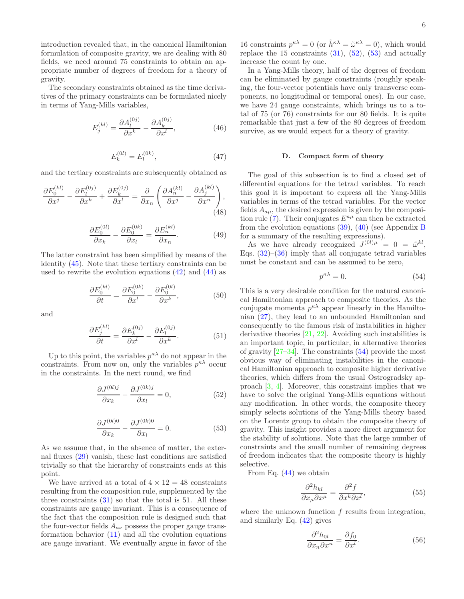introduction revealed that, in the canonical Hamiltonian formulation of composite gravity, we are dealing with 80 fields, we need around 75 constraints to obtain an appropriate number of degrees of freedom for a theory of gravity.

The secondary constraints obtained as the time derivatives of the primary constraints can be formulated nicely in terms of Yang-Mills variables,

<span id="page-5-3"></span>
$$
E_j^{(kl)} = \frac{\partial A_l^{(0j)}}{\partial x^k} - \frac{\partial A_k^{(0j)}}{\partial x^l},\tag{46}
$$

<span id="page-5-4"></span>
$$
E_k^{(0l)} = E_l^{(0k)},\t\t(47)
$$

and the tertiary constraints are subsequently obtained as

<span id="page-5-5"></span>
$$
\frac{\partial E_0^{(kl)}}{\partial x^j} - \frac{\partial E_l^{(0j)}}{\partial x^k} + \frac{\partial E_k^{(0j)}}{\partial x^l} = \frac{\partial}{\partial x_n} \left( \frac{\partial A_n^{(kl)}}{\partial x^j} - \frac{\partial A_j^{(kl)}}{\partial x^n} \right),\tag{48}
$$

<span id="page-5-6"></span>
$$
\frac{\partial E_0^{(0l)}}{\partial x_k} - \frac{\partial E_0^{(0k)}}{\partial x_l} = \frac{\partial E_n^{(kl)}}{\partial x_n}.\tag{49}
$$

The latter constraint has been simplified by means of the identity [\(45\)](#page-4-5). Note that these tertiary constraints can be used to rewrite the evolution equations  $(42)$  and  $(44)$  as

$$
\frac{\partial E_0^{(kl)}}{\partial t} = \frac{\partial E_0^{(0k)}}{\partial x^l} - \frac{\partial E_0^{(0l)}}{\partial x^k},\tag{50}
$$

and

$$
\frac{\partial E_j^{(kl)}}{\partial t} = \frac{\partial E_k^{(0j)}}{\partial x^l} - \frac{\partial E_l^{(0j)}}{\partial x^k}.\tag{51}
$$

Up to this point, the variables  $p^{\kappa \lambda}$  do not appear in the constraints. From now on, only the variables  $p^{\kappa \lambda}$  occur in the constraints. In the next round, we find

<span id="page-5-0"></span>
$$
\frac{\partial J^{(0lj)}\partial x_k}{\partial x_k} - \frac{\partial J^{(0k)j}}{\partial x_l} = 0,\tag{52}
$$

<span id="page-5-1"></span>
$$
\frac{\partial J^{(0l)0}}{\partial x_k} - \frac{\partial J^{(0k)0}}{\partial x_l} = 0.
$$
 (53)

As we assume that, in the absence of matter, the external fluxes [\(29\)](#page-4-2) vanish, these last conditions are satisfied trivially so that the hierarchy of constraints ends at this point.

We have arrived at a total of  $4 \times 12 = 48$  constraints resulting from the composition rule, supplemented by the three constraints  $(31)$  so that the total is 51. All these constraints are gauge invariant. This is a consequence of the fact that the composition rule is designed such that the four-vector fields  $A_{a\nu}$  possess the proper gauge transformation behavior  $(11)$  and all the evolution equations are gauge invariant. We eventually argue in favor of the

16 constraints  $p^{\kappa\lambda} = 0$  (or  $\tilde{h}^{\kappa\lambda} = \tilde{\omega}^{\kappa\lambda} = 0$ ), which would replace the 15 constraints  $(31)$ ,  $(52)$ ,  $(53)$  and actually increase the count by one.

In a Yang-Mills theory, half of the degrees of freedom can be eliminated by gauge constraints (roughly speaking, the four-vector potentials have only transverse components, no longitudinal or temporal ones). In our case, we have 24 gauge constraints, which brings us to a total of 75 (or 76) constraints for our 80 fields. It is quite remarkable that just a few of the 80 degrees of freedom survive, as we would expect for a theory of gravity.

### <span id="page-5-7"></span>D. Compact form of theory

The goal of this subsection is to find a closed set of differential equations for the tetrad variables. To reach this goal it is important to express all the Yang-Mills variables in terms of the tetrad variables. For the vector fields  $A_{a\mu}$ , the desired expression is given by the composi-tion rule [\(7\)](#page-2-1). Their conjugates  $E^{a\mu}$  can then be extracted from the evolution equations [\(39\)](#page-4-8), [\(40\)](#page-4-4) (see Appendix [B](#page-13-1) for a summary of the resulting expressions).

As we have already recognized  $J^{(0l)\mu} = 0 = \tilde{\omega}^{kl}$ , Eqs.  $(32)$ – $(36)$  imply that all conjugate tetrad variables must be constant and can be assumed to be zero,

<span id="page-5-2"></span>
$$
p^{\kappa \lambda} = 0. \tag{54}
$$

This is a very desirable condition for the natural canonical Hamiltonian approach to composite theories. As the conjugate momenta  $p^{\kappa \lambda}$  appear linearly in the Hamiltonian [\(27\)](#page-3-7), they lead to an unbounded Hamiltonian and consequently to the famous risk of instabilities in higher derivative theories  $[21, 22]$  $[21, 22]$  $[21, 22]$ . Avoiding such instabilities is an important topic, in particular, in alternative theories of gravity  $[27-34]$ . The constraints  $(54)$  provide the most obvious way of eliminating instabilities in the canonical Hamiltonian approach to composite higher derivative theories, which differs from the usual Ostrogradsky approach [\[3,](#page-15-2) [4](#page-15-3)]. Moreover, this constraint implies that we have to solve the original Yang-Mills equations without any modification. In other words, the composite theory simply selects solutions of the Yang-Mills theory based on the Lorentz group to obtain the composite theory of gravity. This insight provides a more direct argument for the stability of solutions. Note that the large number of constraints and the small number of remaining degrees of freedom indicates that the composite theory is highly selective.

From Eq.  $(44)$  we obtain

<span id="page-5-8"></span>
$$
\frac{\partial^2 h_{kl}}{\partial x_\mu \partial x^\mu} = \frac{\partial^2 f}{\partial x^k \partial x^l},\tag{55}
$$

where the unknown function  $f$  results from integration, and similarly Eq. [\(42\)](#page-4-6) gives

$$
\frac{\partial^2 h_{0l}}{\partial x_n \partial x^n} = \frac{\partial f_0}{\partial x^l}.
$$
\n(56)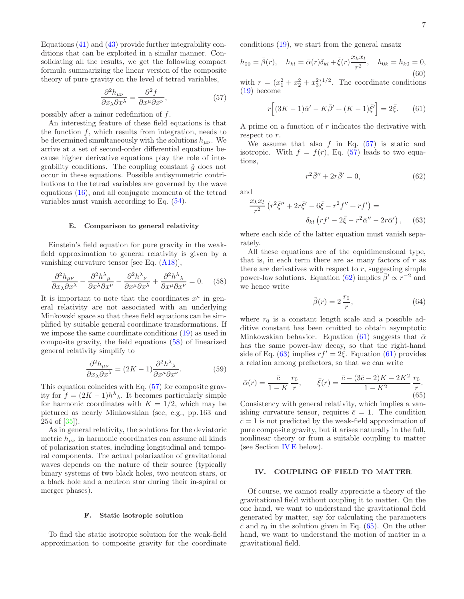Equations [\(41\)](#page-4-11) and [\(43\)](#page-4-12) provide further integrability conditions that can be exploited in a similar manner. Consolidating all the results, we get the following compact formula summarizing the linear version of the composite theory of pure gravity on the level of tetrad variables,

<span id="page-6-2"></span>
$$
\frac{\partial^2 h_{\mu\nu}}{\partial x_\lambda \partial x^\lambda} = \frac{\partial^2 f}{\partial x^\mu \partial x^\nu},\tag{57}
$$

possibly after a minor redefinition of f.

An interesting feature of these field equations is that the function  $f$ , which results from integration, needs to be determined simultaneously with the solutions  $h_{\mu\nu}$ . We arrive at a set of second-order differential equations because higher derivative equations play the role of integrability conditions. The coupling constant  $\tilde{g}$  does not occur in these equations. Possible antisymmetric contributions to the tetrad variables are governed by the wave equations [\(16\)](#page-2-9), and all conjugate momenta of the tetrad variables must vanish according to Eq. [\(54\)](#page-5-2).

### E. Comparison to general relativity

Einstein's field equation for pure gravity in the weakfield approximation to general relativity is given by a vanishing curvature tensor [see Eq. [\(A18\)](#page-13-2)],

<span id="page-6-1"></span>
$$
\frac{\partial^2 h_{\mu\nu}}{\partial x_\lambda \partial x^\lambda} - \frac{\partial^2 h^\lambda_{\ \mu}}{\partial x^\lambda \partial x^\nu} - \frac{\partial^2 h^\lambda_{\ \nu}}{\partial x^\mu \partial x^\lambda} + \frac{\partial^2 h^\lambda_{\ \lambda}}{\partial x^\mu \partial x^\nu} = 0. \tag{58}
$$

It is important to note that the coordinates  $x^{\mu}$  in general relativity are not associated with an underlying Minkowski space so that these field equations can be simplified by suitable general coordinate transformations. If we impose the same coordinate conditions [\(19\)](#page-3-1) as used in composite gravity, the field equations [\(58\)](#page-6-1) of linearized general relativity simplify to

$$
\frac{\partial^2 h_{\mu\nu}}{\partial x_\lambda \partial x^\lambda} = (2K - 1) \frac{\partial^2 h^\lambda}{\partial x^\mu \partial x^\nu}.
$$
 (59)

This equation coincides with Eq. [\(57\)](#page-6-2) for composite gravity for  $f = (2K - 1)h^{\lambda}$ . It becomes particularly simple for harmonic coordinates with  $K = 1/2$ , which may be pictured as nearly Minkowskian (see, e.g., pp. 163 and 254 of [\[35](#page-16-1)]).

As in general relativity, the solutions for the deviatoric metric  $h_{\mu\nu}$  in harmonic coordinates can assume all kinds of polarization states, including longitudinal and temporal components. The actual polarization of gravitational waves depends on the nature of their source (typically binary systems of two black holes, two neutron stars, or a black hole and a neutron star during their in-spiral or merger phases).

# <span id="page-6-7"></span>F. Static isotropic solution

To find the static isotropic solution for the weak-field approximation to composite gravity for the coordinate conditions [\(19\)](#page-3-1), we start from the general ansatz

$$
h_{00} = \bar{\beta}(r), \quad h_{kl} = \bar{\alpha}(r)\delta_{kl} + \bar{\xi}(r)\frac{x_k x_l}{r^2}, \quad h_{0k} = h_{k0} = 0,
$$
  
(60)  
with  $r = (x_1^2 + x_2^2 + x_3^2)^{1/2}$ . The coordinate conditions

3 [\(19\)](#page-3-1) become

<span id="page-6-4"></span>
$$
r[(3K-1)\bar{\alpha}' - K\bar{\beta}' + (K-1)\bar{\xi}'] = 2\bar{\xi}.
$$
 (61)

A prime on a function of  $r$  indicates the derivative with respect to  $r$ .

We assume that also  $f$  in Eq.  $(57)$  is static and isotropic. With  $f = f(r)$ , Eq. [\(57\)](#page-6-2) leads to two equations,

<span id="page-6-3"></span>
$$
r^2 \bar{\beta}^{\prime\prime} + 2r \bar{\beta}^{\prime} = 0,\tag{62}
$$

and

<span id="page-6-5"></span>
$$
\frac{x_k x_l}{r^2} \left( r^2 \bar{\xi}'' + 2r \bar{\xi}' - 6\bar{\xi} - r^2 f'' + rf' \right) =
$$
  

$$
\delta_{kl} \left( rf' - 2\bar{\xi} - r^2 \bar{\alpha}'' - 2r \bar{\alpha}' \right), \quad (63)
$$

where each side of the latter equation must vanish separately.

All these equations are of the equidimensional type, that is, in each term there are as many factors of  $r$  as there are derivatives with respect to  $r$ , suggesting simple power-law solutions. Equation [\(62\)](#page-6-3) implies  $\bar{\beta}' \propto r^{-2}$  and we hence write

<span id="page-6-8"></span>
$$
\bar{\beta}(r) = 2\frac{r_0}{r},\tag{64}
$$

where  $r_0$  is a constant length scale and a possible additive constant has been omitted to obtain asymptotic Minkowskian behavior. Equation [\(61\)](#page-6-4) suggests that  $\bar{\alpha}$ has the same power-law decay, so that the right-hand side of Eq. [\(63\)](#page-6-5) implies  $rf' = 2\overline{\xi}$ . Equation [\(61\)](#page-6-4) provides a relation among prefactors, so that we can write

<span id="page-6-6"></span>
$$
\bar{\alpha}(r) = \frac{\bar{c}}{1 - K} \frac{r_0}{r}, \qquad \bar{\xi}(r) = \frac{\bar{c} - (3\bar{c} - 2)K - 2K^2}{1 - K^2} \frac{r_0}{r}.
$$
\n(65)

Consistency with general relativity, which implies a vanishing curvature tensor, requires  $\bar{c} = 1$ . The condition  $\bar{c}=1$  is not predicted by the weak-field approximation of pure composite gravity, but it arises naturally in the full, nonlinear theory or from a suitable coupling to matter (see Section [IV E](#page-9-0) below).

# <span id="page-6-0"></span>IV. COUPLING OF FIELD TO MATTER

Of course, we cannot really appreciate a theory of the gravitational field without coupling it to matter. On the one hand, we want to understand the gravitational field generated by matter, say for calculating the parameters  $\bar{c}$  and  $r_0$  in the solution given in Eq. [\(65\)](#page-6-6). On the other hand, we want to understand the motion of matter in a gravitational field.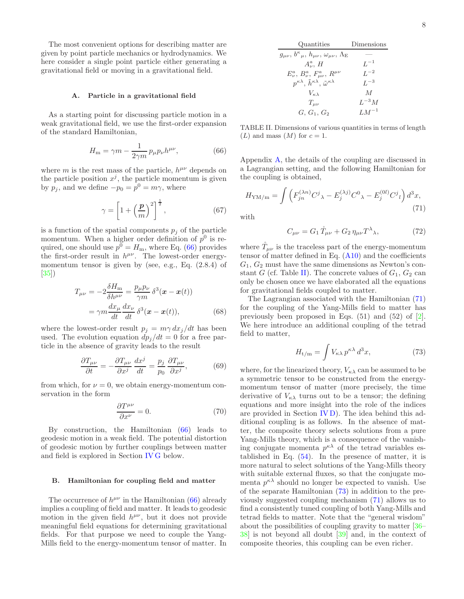The most convenient options for describing matter are given by point particle mechanics or hydrodynamics. We here consider a single point particle either generating a gravitational field or moving in a gravitational field.

### A. Particle in a gravitational field

As a starting point for discussing particle motion in a weak gravitational field, we use the first-order expansion of the standard Hamiltonian,

<span id="page-7-0"></span>
$$
H_{\rm m} = \gamma m - \frac{1}{2\gamma m} p_{\mu} p_{\nu} h^{\mu\nu},\tag{66}
$$

where m is the rest mass of the particle,  $h^{\mu\nu}$  depends on the particle position  $x^j$ , the particle momentum is given by  $p_j$ , and we define  $-p_0 = p^0 = m\gamma$ , where

$$
\gamma = \left[1 + \left(\frac{p}{m}\right)^2\right]^{\frac{1}{2}},\tag{67}
$$

is a function of the spatial components  $p_i$  of the particle momentum. When a higher order definition of  $p^0$  is required, one should use  $p^0 = H_m$ , where Eq. [\(66\)](#page-7-0) provides the first-order result in  $h^{\mu\nu}$ . The lowest-order energymomentum tensor is given by (see, e.g., Eq. (2.8.4) of [\[35\]](#page-16-1))

$$
T_{\mu\nu} = -2\frac{\delta H_{\rm m}}{\delta h^{\mu\nu}} = \frac{p_{\mu}p_{\nu}}{\gamma m} \delta^3(\mathbf{x} - \mathbf{x}(t))
$$

$$
= \gamma m \frac{dx_{\mu}}{dt} \frac{dx_{\nu}}{dt} \delta^3(\mathbf{x} - \mathbf{x}(t)), \tag{68}
$$

where the lowest-order result  $p_i = m\gamma dx_i/dt$  has been used. The evolution equation  $dp_j/dt = 0$  for a free particle in the absence of gravity leads to the result

$$
\frac{\partial T_{\mu\nu}}{\partial t} = -\frac{\partial T_{\mu\nu}}{\partial x^j} \frac{dx^j}{dt} = \frac{p_j}{p_0} \frac{\partial T_{\mu\nu}}{\partial x^j},\tag{69}
$$

from which, for  $\nu = 0$ , we obtain energy-momentum conservation in the form

<span id="page-7-5"></span>
$$
\frac{\partial T^{\mu\nu}}{\partial x^{\nu}} = 0.
$$
 (70)

By construction, the Hamiltonian [\(66\)](#page-7-0) leads to geodesic motion in a weak field. The potential distortion of geodesic motion by further couplings between matter and field is explored in Section [IV G](#page-10-0) below.

### B. Hamiltonian for coupling field and matter

The occurrence of  $h^{\mu\nu}$  in the Hamiltonian [\(66\)](#page-7-0) already implies a coupling of field and matter. It leads to geodesic motion in the given field  $h^{\mu\nu}$ , but it does not provide meaningful field equations for determining gravitational fields. For that purpose we need to couple the Yang-Mills field to the energy-momentum tensor of matter. In

| Quantities                                                                     | Dimensions     |
|--------------------------------------------------------------------------------|----------------|
| $g_{\mu\nu}, b^{\kappa}{}_{\mu}, h_{\mu\nu}, \omega_{\mu\nu}, \Lambda_{\rm E}$ |                |
| $A^a_\nu$ , H                                                                  | $L^{-1}$       |
| $E^a_\nu, B^a_\nu, F^a_{\mu\nu}, R^{\mu\nu}$                                   | $L^{-2}$       |
| $p^{\kappa\lambda}, \tilde{h}^{\kappa\lambda}, \tilde{\omega}^{\kappa\lambda}$ | $L^{-3}$       |
| $V_{\kappa\lambda}$                                                            | $\overline{M}$ |
| $T_{\mu\nu}$                                                                   | $L^{-3}M$      |
| $G, G_1, G_2$                                                                  | $LM^{-1}$      |

<span id="page-7-1"></span>TABLE II. Dimensions of various quantities in terms of length  $(L)$  and mass  $(M)$  for  $c = 1$ .

Appendix [A,](#page-12-0) the details of the coupling are discussed in a Lagrangian setting, and the following Hamiltonian for the coupling is obtained,

<span id="page-7-2"></span>
$$
H_{\rm YM/m} = \int \left( F_{jn}^{(\lambda n)} C^j \lambda - E_j^{(\lambda j)} C^0 \lambda - E_j^{(0 l)} C^j \iota \right) d^3 x,
$$
\n(71)

with

<span id="page-7-4"></span>
$$
C_{\mu\nu} = G_1 \mathring{T}_{\mu\nu} + G_2 \eta_{\mu\nu} T^{\lambda}{}_{\lambda},\tag{72}
$$

where  $\tilde{T}_{\mu\nu}$  is the traceless part of the energy-momentum tensor of matter defined in Eq.  $(A10)$  and the coefficients  $G_1, G_2$  must have the same dimensions as Newton's con-stant G (cf. Table [II\)](#page-7-1). The concrete values of  $G_1, G_2$  can only be chosen once we have elaborated all the equations for gravitational fields coupled to matter.

The Lagrangian associated with the Hamiltonian [\(71\)](#page-7-2) for the coupling of the Yang-Mills field to matter has previously been proposed in Eqs. (51) and (52) of [\[2\]](#page-15-1). We here introduce an additional coupling of the tetrad field to matter,

<span id="page-7-3"></span>
$$
H_{t/m} = \int V_{\kappa\lambda} p^{\kappa\lambda} d^3 x,\tag{73}
$$

where, for the linearized theory,  $V_{\kappa\lambda}$  can be assumed to be a symmetric tensor to be constructed from the energymomentum tensor of matter (more precisely, the time derivative of  $V_{\kappa\lambda}$  turns out to be a tensor; the defining equations and more insight into the role of the indices are provided in Section [IV D\)](#page-9-1). The idea behind this additional coupling is as follows. In the absence of matter, the composite theory selects solutions from a pure Yang-Mills theory, which is a consequence of the vanishing conjugate momenta  $p^{\kappa\lambda}$  of the tetrad variables established in Eq.  $(54)$ . In the presence of matter, it is more natural to select solutions of the Yang-Mills theory with suitable external fluxes, so that the conjugate momenta  $p^{\kappa\lambda}$  should no longer be expected to vanish. Use of the separate Hamiltonian [\(73\)](#page-7-3) in addition to the previously suggested coupling mechanism [\(71\)](#page-7-2) allows us to find a consistently tuned coupling of both Yang-Mills and tetrad fields to matter. Note that the "general wisdom" about the possibilities of coupling gravity to matter [\[36](#page-16-2)– [38](#page-16-3)] is not beyond all doubt [\[39\]](#page-16-4) and, in the context of composite theories, this coupling can be even richer.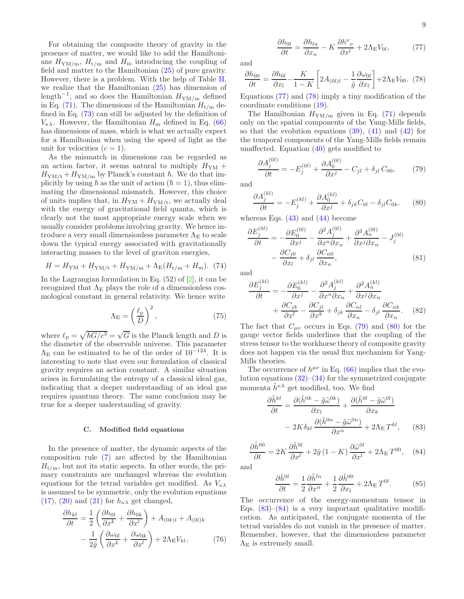For obtaining the composite theory of gravity in the presence of matter, we would like to add the Hamiltonians  $H_{\text{YM/m}}$ ,  $H_{\text{t/m}}$  and  $H_{\text{m}}$  introducing the coupling of field and matter to the Hamiltonian [\(25\)](#page-3-8) of pure gravity. However, there is a problem. With the help of Table [II,](#page-7-1) we realize that the Hamiltonian  $(25)$  has dimension of length<sup>-1</sup>, and so does the Hamiltonian  $H_{\text{YM/m}}$  defined in Eq. [\(71\)](#page-7-2). The dimensions of the Hamiltonian  $H_{t/m}$  defined in Eq. [\(73\)](#page-7-3) can still be adjusted by the definition of  $V_{\kappa\lambda}$ . However, the Hamiltonian  $H_{\rm m}$  defined in Eq. [\(66\)](#page-7-0) has dimensions of mass, which is what we actually expect for a Hamiltonian when using the speed of light as the unit for velocities  $(c = 1)$ .

As the mismatch in dimensions can be regarded as an action factor, it seems natural to multiply  $H_{\rm YM}$  +  $H_{\text{YM/t}} + H_{\text{YM/m}}$  by Planck's constant  $\hbar$ . We do that implicitly by using  $\hbar$  as the unit of action ( $\hbar = 1$ ), thus eliminating the dimensional mismatch. However, this choice of units implies that, in  $H_{\text{YM}} + H_{\text{YM/t}}$ , we actually deal with the energy of gravitational field quanta, which is clearly not the most appropriate energy scale when we usually consider problems involving gravity. We hence introduce a very small dimensionless parameter  $\Lambda_{\rm E}$  to scale down the typical energy associated with gravitationally interacting masses to the level of graviton energies,

<span id="page-8-9"></span>
$$
H = H_{\rm YM} + H_{\rm YM/t} + H_{\rm YM/m} + \Lambda_{\rm E}(H_{\rm t/m} + H_{\rm m}). \tag{74}
$$

In the Lagrangian formulation in Eq.  $(52)$  of  $[2]$ , it can be recognized that  $\Lambda_{\rm E}$  plays the role of a dimensionless cosmological constant in general relativity. We hence write

$$
\Lambda_{\mathcal{E}} = \left(\frac{\ell_{\mathcal{P}}}{D}\right)^2,\tag{75}
$$

where  $\ell_{\rm p} = \sqrt{\hbar G/c^3} = \sqrt{G}$  is the Planck length and D is the diameter of the observable universe. This parameter  $\Lambda_{\rm E}$  can be estimated to be of the order of 10<sup>-124</sup>. It is interesting to note that even our formulation of classical gravity requires an action constant. A similar situation arises in formulating the entropy of a classical ideal gas, indicating that a deeper understanding of an ideal gas requires quantum theory. The same conclusion may be true for a deeper understanding of gravity.

## C. Modified field equations

In the presence of matter, the dynamic aspects of the composition rule [\(7\)](#page-2-1) are affected by the Hamiltonian  $H_{t/m}$ , but not its static aspects. In other words, the primary constraints are unchanged whereas the evolution equations for the tetrad variables get modified. As  $V_{\kappa\lambda}$ is assumed to be symmetric, only the evolution equations [\(17\)](#page-2-6), [\(20\)](#page-3-2) and [\(21\)](#page-3-9) for  $h_{\kappa\lambda}$  get changed,

<span id="page-8-6"></span>
$$
\frac{\partial h_{kl}}{\partial t} = \frac{1}{2} \left( \frac{\partial h_{0l}}{\partial x^k} + \frac{\partial h_{0k}}{\partial x^l} \right) + A_{(0k)l} + A_{(0l)k} \n- \frac{1}{2\tilde{g}} \left( \frac{\partial \omega_{0l}}{\partial x^k} + \frac{\partial \omega_{0k}}{\partial x^l} \right) + 2\Lambda_E V_{kl},
$$
\n(76)

<span id="page-8-0"></span>
$$
\frac{\partial h_{0l}}{\partial t} = \frac{\partial h_{ln}}{\partial x_n} - K \frac{\partial h^{\nu}{}_{\nu}}{\partial x^l} + 2\Lambda_{\rm E} V_{0l},\tag{77}
$$

and

<span id="page-8-1"></span>
$$
\frac{\partial h_{00}}{\partial t} = \frac{\partial h_{0l}}{\partial x_l} - \frac{K}{1 - K} \left[ 2A_{(0l)l} - \frac{1}{\tilde{g}} \frac{\partial \omega_{0l}}{\partial x_l} \right] + 2\Lambda_{\rm E} V_{00}. \tag{78}
$$

Equations [\(77\)](#page-8-0) and [\(78\)](#page-8-1) imply a tiny modification of the coordinate conditions [\(19\)](#page-3-1).

The Hamiltonian  $H_{\text{YM/m}}$  given in Eq. [\(71\)](#page-7-2) depends only on the spatial components of the Yang-Mills fields, so that the evolution equations [\(39\)](#page-4-8), [\(41\)](#page-4-11) and [\(42\)](#page-4-6) for the temporal components of the Yang-Mills fields remain unaffected. Equation [\(40\)](#page-4-4) gets modified to

<span id="page-8-2"></span>
$$
\frac{\partial A_j^{(0l)}}{\partial t} = -E_j^{(0l)} + \frac{\partial A_0^{(0l)}}{\partial x^j} - C_{jl} + \delta_{jl} C_{00},\tag{79}
$$

and

<span id="page-8-3"></span>
$$
\frac{\partial A_j^{(kl)}}{\partial t} = -E_j^{(kl)} + \frac{\partial A_0^{(kl)}}{\partial x^j} + \delta_{jk} C_{0l} - \delta_{jl} C_{0k}.\tag{80}
$$

whereas Eqs.  $(43)$  and  $(44)$  become

<span id="page-8-8"></span>
$$
\frac{\partial E_j^{(0l)}}{\partial t} = -\frac{\partial E_0^{(0l)}}{\partial x^j} - \frac{\partial^2 A_j^{(0l)}}{\partial x^n \partial x_n} + \frac{\partial^2 A_n^{(0l)}}{\partial x^j \partial x_n} - J_j^{(0l)} \n- \frac{\partial C_{j0}}{\partial x_l} + \delta_{jl} \frac{\partial C_{n0}}{\partial x_n},
$$
\n(81)

and

<span id="page-8-7"></span>
$$
\frac{\partial E_j^{(kl)}}{\partial t} = -\frac{\partial E_0^{(kl)}}{\partial x^j} - \frac{\partial^2 A_j^{(kl)}}{\partial x^n \partial x_n} + \frac{\partial^2 A_n^{(kl)}}{\partial x^j \partial x_n} + \frac{\partial C_{jk}}{\partial x^l} - \frac{\partial C_{jl}}{\partial x^k} + \delta_{jk} \frac{\partial C_{nl}}{\partial x_n} - \delta_{jl} \frac{\partial C_{nk}}{\partial x_n}.
$$
(82)

The fact that  $C_{\mu\nu}$  occurs in Eqs. [\(79\)](#page-8-2) and [\(80\)](#page-8-3) for the gauge vector fields underlines that the coupling of the stress tensor to the workhorse theory of composite gravity does not happen via the usual flux mechanism for Yang-Mills theories.

The occurrence of  $h^{\mu\nu}$  in Eq. [\(66\)](#page-7-0) implies that the evolution equations  $(32)$ – $(34)$  for the symmetrized conjugate momenta  $\tilde{h}^{\kappa\lambda}$  get modified, too. We find

<span id="page-8-4"></span>
$$
\frac{\partial \tilde{h}^{kl}}{\partial t} = \frac{\partial (\tilde{h}^{0k} - \tilde{g}\tilde{\omega}^{0k})}{\partial x_l} + \frac{\partial (\tilde{h}^{0l} - \tilde{g}\tilde{\omega}^{0l})}{\partial x_k} \n- 2K\delta_{kl} \frac{\partial (\tilde{h}^{0n} - \tilde{g}\tilde{\omega}^{0n})}{\partial x^n} + 2\Lambda_E T^{kl},
$$
\n(83)

<span id="page-8-5"></span> $\partial \tilde{h}^{00}$ 

and

$$
\frac{\tilde{h}^{00}}{\partial t} = 2K \frac{\partial \tilde{h}^{0l}}{\partial x^l} + 2\tilde{g} (1 - K) \frac{\partial \tilde{\omega}^{0l}}{\partial x^l} + 2\Lambda_{\rm E} T^{00}, \quad (84)
$$

$$
\frac{\partial \tilde{h}^{0l}}{\partial t} = \frac{1}{2} \frac{\partial \tilde{h}^{ln}}{\partial x^n} + \frac{1}{2} \frac{\partial \tilde{h}^{00}}{\partial x_l} + 2\Lambda_{\mathcal{E}} T^{0l}.
$$
 (85)

 $(84)$ 

The occurrence of the energy-momentum tensor in Eqs.  $(83)$ – $(84)$  is a very important qualitative modification. As anticipated, the conjugate momenta of the tetrad variables do not vanish in the presence of matter. Remember, however, that the dimensionless parameter  $\Lambda_{\rm E}$  is extremely small.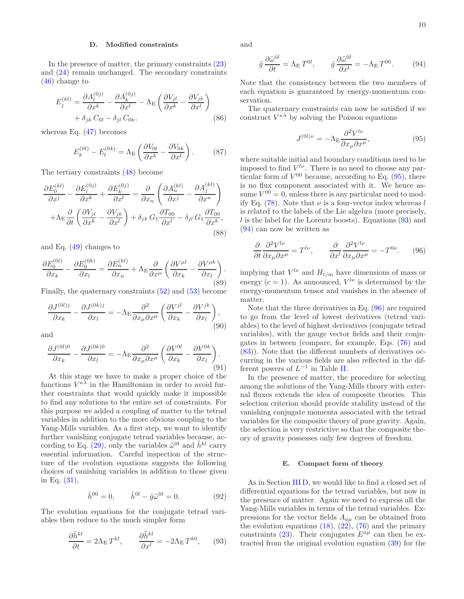# <span id="page-9-1"></span>D. Modified constraints

In the presence of matter, the primary constraints [\(23\)](#page-3-4) and [\(24\)](#page-3-5) remain unchanged. The secondary constraints [\(46\)](#page-5-3) change to

$$
E_j^{(kl)} = \frac{\partial A_l^{(0j)}}{\partial x^k} - \frac{\partial A_k^{(0j)}}{\partial x^l} - \Lambda_{\rm E} \left( \frac{\partial V_{jl}}{\partial x^k} - \frac{\partial V_{jk}}{\partial x^l} \right) + \delta_{jk} C_{0l} - \delta_{jl} C_{0k}, \qquad (86)
$$

whereas Eq.  $(47)$  becomes

$$
E_k^{(0l)} - E_l^{(0k)} = \Lambda_{\rm E} \left( \frac{\partial V_{0l}}{\partial x^k} - \frac{\partial V_{0k}}{\partial x^l} \right). \tag{87}
$$

The tertiary constraints [\(48\)](#page-5-5) become

$$
\frac{\partial E_0^{(kl)}}{\partial x^j} - \frac{\partial E_l^{(0j)}}{\partial x^k} + \frac{\partial E_k^{(0j)}}{\partial x^l} = \frac{\partial}{\partial x_n} \left( \frac{\partial A_n^{(kl)}}{\partial x^j} - \frac{\partial A_j^{(kl)}}{\partial x^n} \right) \n+ \Lambda_E \frac{\partial}{\partial t} \left( \frac{\partial V_{jl}}{\partial x^k} - \frac{\partial V_{jk}}{\partial x^l} \right) + \delta_{jk} G_1 \frac{\partial T_{00}}{\partial x^l} - \delta_{jl} G_1 \frac{\partial T_{00}}{\partial x^k},
$$
\n(88)

and Eq. [\(49\)](#page-5-6) changes to

$$
\frac{\partial E_0^{(0l)}}{\partial x_k} - \frac{\partial E_0^{(0k)}}{\partial x_l} = \frac{\partial E_n^{(kl)}}{\partial x_n} + \Lambda_E \frac{\partial}{\partial x^\mu} \left( \frac{\partial V^{\mu l}}{\partial x_k} - \frac{\partial V^{\mu k}}{\partial x_l} \right). \tag{89}
$$

Finally, the quaternary constraints [\(52\)](#page-5-0) and [\(53\)](#page-5-1) become

$$
\frac{\partial J^{(0l)j}}{\partial x_k} - \frac{\partial J^{(0k)j}}{\partial x_l} = -\Lambda_{\rm E} \frac{\partial^2}{\partial x_\mu \partial x^\mu} \left( \frac{\partial V^{jl}}{\partial x_k} - \frac{\partial V^{jk}}{\partial x_l} \right),\tag{90}
$$

and

$$
\frac{\partial J^{(0l)0}}{\partial x_k} - \frac{\partial J^{(0k)0}}{\partial x_l} = -\Lambda_{\rm E} \frac{\partial^2}{\partial x_\mu \partial x^\mu} \left( \frac{\partial V^{0l}}{\partial x_k} - \frac{\partial V^{0k}}{\partial x_l} \right). \tag{91}
$$

At this stage we have to make a proper choice of the functions  $V^{\kappa\lambda}$  in the Hamiltonian in order to avoid further constraints that would quickly make it impossible to find any solutions to the entire set of constraints. For this purpose we added a coupling of matter to the tetrad variables in addition to the more obvious coupling to the Yang-Mills variables. As a first step, we want to identify further vanishing conjugate tetrad variables because, ac-cording to Eq. [\(29\)](#page-4-2), only the variables  $\tilde{\omega}^{0l}$  and  $\tilde{h}^{kl}$  carry essential information. Careful inspection of the structure of the evolution equations suggests the following choices of vanishing variables in addition to those given in Eq. [\(31\)](#page-4-1),

$$
\tilde{h}^{00} = 0, \qquad \tilde{h}^{0l} - \tilde{g}\tilde{\omega}^{0l} = 0. \tag{92}
$$

The evolution equations for the conjugate tetrad variables then reduce to the much simpler form

<span id="page-9-3"></span>
$$
\frac{\partial \tilde{h}^{kl}}{\partial t} = 2\Lambda_{\mathcal{E}} T^{kl}, \qquad \frac{\partial \tilde{h}^{kl}}{\partial x^l} = -2\Lambda_{\mathcal{E}} T^{k0}, \qquad (93)
$$

and

<span id="page-9-4"></span>
$$
\tilde{g}\frac{\partial \tilde{\omega}^{0l}}{\partial t} = \Lambda_{\mathcal{E}} T^{0l}, \qquad \tilde{g}\frac{\partial \tilde{\omega}^{0l}}{\partial x^{l}} = -\Lambda_{\mathcal{E}} T^{00}.
$$
 (94)

Note that the consistency between the two members of each equation is guaranteed by energy-momentum conservation.

The quaternary constraints can now be satisfied if we construct  $V^{\kappa\lambda}$  by solving the Poisson equations

<span id="page-9-2"></span>
$$
J^{(0l)\nu} = -\Lambda_{\rm E} \frac{\partial^2 V^{l\nu}}{\partial x_\mu \partial x^\mu},\tag{95}
$$

where suitable initial and boundary conditions need to be imposed to find  $V^{l\nu}$ . There is no need to choose any particular form of  $V^{00}$  because, according to Eq.  $(95)$ , there is no flux component associated with it. We hence assume  $V^{00} = 0$ , unless there is any particular need to mod-ify Eq. [\(78\)](#page-8-1). Note that  $\nu$  is a four-vector index whereas l is related to the labels of the Lie algebra (more precisely,  $l$  is the label for the Lorentz boosts). Equations  $(93)$  and [\(94\)](#page-9-4) can now be written as

<span id="page-9-5"></span>
$$
\frac{\partial}{\partial t} \frac{\partial^2 V^{l\nu}}{\partial x_\mu \partial x^\mu} = T^{l\nu}, \qquad \frac{\partial}{\partial x^l} \frac{\partial^2 V^{l\nu}}{\partial x_\mu \partial x^\mu} = -T^{0\nu}.
$$
 (96)

implying that  $V^{l\nu}$  and  $H_{t/m}$  have dimensions of mass or energy  $(c = 1)$ . As announced,  $V^{l\nu}$  is determined by the energy-momentum tensor and vanishes in the absence of matter.

Note that the three derivatives in Eq. [\(96\)](#page-9-5) are required to go from the level of lowest derivatives (tetrad variables) to the level of highest derivatives (conjugate tetrad variables), with the gauge vector fields and their conjugates in between (compare, for example, Eqs. [\(76\)](#page-8-6) and [\(83\)](#page-8-4)). Note that the different numbers of derivatives occurring in the various fields are also reflected in the different powers of  $L^{-1}$  in Table [II.](#page-7-1)

In the presence of matter, the procedure for selecting among the solutions of the Yang-Mills theory with external fluxes extends the idea of composite theories. This selection criterion should provide stability instead of the vanishing conjugate momenta associated with the tetrad variables for the composite theory of pure gravity. Again, the selection is very restrictive so that the composite theory of gravity possesses only few degrees of freedom.

### <span id="page-9-0"></span>E. Compact form of theory

As in Section [III D,](#page-5-7) we would like to find a closed set of differential equations for the tetrad variables, but now in the presence of matter. Again we need to express all the Yang-Mills variables in terms of the tetrad variables. Expressions for the vector fields  $A_{a\mu}$  can be obtained from the evolution equations  $(18)$ ,  $(22)$ ,  $(76)$  and the primary constraints [\(23\)](#page-3-4). Their conjugates  $E^{a\mu}$  can then be extracted from the original evolution equation [\(39\)](#page-4-8) for the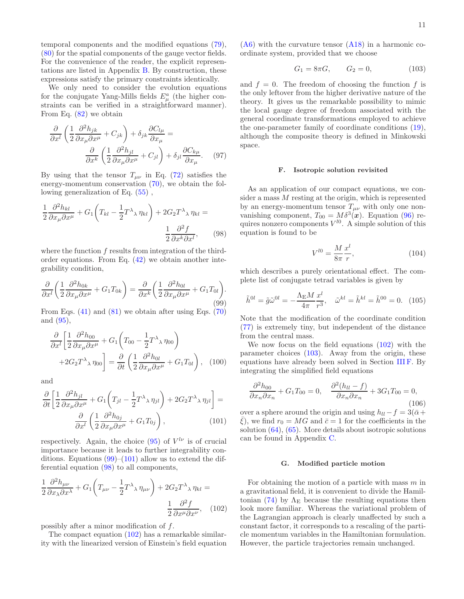temporal components and the modified equations [\(79\)](#page-8-2), [\(80\)](#page-8-3) for the spatial components of the gauge vector fields. For the convenience of the reader, the explicit representations are listed in Appendix [B.](#page-13-1) By construction, these expressions satisfy the primary constraints identically.

We only need to consider the evolution equations for the conjugate Yang-Mills fields  $E^a_\mu$  (the higher constraints can be verified in a straightforward manner). From Eq. [\(82\)](#page-8-7) we obtain

$$
\frac{\partial}{\partial x^l} \left( \frac{1}{2} \frac{\partial^2 h_{jk}}{\partial x_\mu \partial x^\mu} + C_{jk} \right) + \delta_{jk} \frac{\partial C_{l\mu}}{\partial x_\mu} = \frac{\partial}{\partial x^k} \left( \frac{1}{2} \frac{\partial^2 h_{jl}}{\partial x_\mu \partial x^\mu} + C_{jl} \right) + \delta_{jl} \frac{\partial C_{k\mu}}{\partial x_\mu}.
$$
 (97)

By using that the tensor  $T_{\mu\nu}$  in Eq. [\(72\)](#page-7-4) satisfies the energy-momentum conservation [\(70\)](#page-7-5), we obtain the following generalization of Eq.  $(55)$ ,

<span id="page-10-3"></span>
$$
\frac{1}{2} \frac{\partial^2 h_{kl}}{\partial x_\mu \partial x^\mu} + G_1 \left( T_{kl} - \frac{1}{2} T^\lambda \chi \eta_{kl} \right) + 2 G_2 T^\lambda \chi \eta_{kl} =
$$
\n
$$
\frac{1}{2} \frac{\partial^2 f}{\partial x^k \partial x^l}, \qquad (98)
$$

where the function f results from integration of the thirdorder equations. From Eq. [\(42\)](#page-4-6) we obtain another integrability condition,

<span id="page-10-1"></span>
$$
\frac{\partial}{\partial x^l} \left( \frac{1}{2} \frac{\partial^2 h_{0k}}{\partial x_\mu \partial x^\mu} + G_1 T_{0k} \right) = \frac{\partial}{\partial x^k} \left( \frac{1}{2} \frac{\partial^2 h_{0l}}{\partial x_\mu \partial x^\mu} + G_1 T_{0l} \right). \tag{99}
$$

From Eqs.  $(41)$  and  $(81)$  we obtain after using Eqs.  $(70)$ and [\(95\)](#page-9-2),

$$
\frac{\partial}{\partial x^{l}} \left[ \frac{1}{2} \frac{\partial^{2} h_{00}}{\partial x_{\mu} \partial x^{\mu}} + G_{1} \left( T_{00} - \frac{1}{2} T^{\lambda}{}_{\lambda} \eta_{00} \right) + 2 G_{2} T^{\lambda}{}_{\lambda} \eta_{00} \right] = \frac{\partial}{\partial t} \left( \frac{1}{2} \frac{\partial^{2} h_{0l}}{\partial x_{\mu} \partial x^{\mu}} + G_{1} T_{0l} \right), \quad (100)
$$

and

<span id="page-10-2"></span>
$$
\frac{\partial}{\partial t} \left[ \frac{1}{2} \frac{\partial^2 h_{jl}}{\partial x_\mu \partial x^\mu} + G_1 \left( T_{jl} - \frac{1}{2} T^\lambda \chi \eta_{jl} \right) + 2 G_2 T^\lambda \chi \eta_{jl} \right] = \frac{\partial}{\partial x^l} \left( \frac{1}{2} \frac{\partial^2 h_{0j}}{\partial x_\mu \partial x^\mu} + G_1 T_{0j} \right), \tag{101}
$$

respectively. Again, the choice  $(95)$  of  $V^{l\nu}$  is of crucial importance because it leads to further integrability conditions. Equations  $(99)$ – $(101)$  allow us to extend the differential equation [\(98\)](#page-10-3) to all components,

<span id="page-10-4"></span>
$$
\frac{1}{2} \frac{\partial^2 h_{\mu\nu}}{\partial x_\lambda \partial x^\lambda} + G_1 \left( T_{\mu\nu} - \frac{1}{2} T^\lambda{}_\lambda \eta_{\mu\nu} \right) + 2 G_2 T^\lambda{}_\lambda \eta_{kl} = \frac{1}{2} \frac{\partial^2 f}{\partial x^\mu \partial x^\nu}, \quad (102)
$$

possibly after a minor modification of f.

The compact equation  $(102)$  has a remarkable similarity with the linearized version of Einstein's field equation

 $(A6)$  with the curvature tensor  $(A18)$  in a harmonic coordinate system, provided that we choose

<span id="page-10-5"></span>
$$
G_1 = 8\pi G, \qquad G_2 = 0,\tag{103}
$$

and  $f = 0$ . The freedom of choosing the function f is the only leftover from the higher derivative nature of the theory. It gives us the remarkable possibility to mimic the local gauge degree of freedom associated with the general coordinate transformations employed to achieve the one-parameter family of coordinate conditions [\(19\)](#page-3-1), although the composite theory is defined in Minkowski space.

### F. Isotropic solution revisited

As an application of our compact equations, we consider a mass M resting at the origin, which is represented by an energy-momentum tensor  $T_{\mu\nu}$  with only one nonvanishing component,  $T_{00} = M \delta^3(\boldsymbol{x})$ . Equation [\(96\)](#page-9-5) requires nonzero components  $V^{l0}$ . A simple solution of this equation is found to be

$$
V^{l0} = \frac{M}{8\pi} \frac{x^l}{r},\tag{104}
$$

which describes a purely orientational effect. The complete list of conjugate tetrad variables is given by

<span id="page-10-6"></span>
$$
\tilde{h}^{0l} = \tilde{g}\tilde{\omega}^{0l} = -\frac{\Lambda_{\rm E}M}{4\pi} \frac{x^l}{r^3}, \quad \tilde{\omega}^{kl} = \tilde{h}^{kl} = \tilde{h}^{00} = 0. \tag{105}
$$

Note that the modification of the coordinate condition [\(77\)](#page-8-0) is extremely tiny, but independent of the distance from the central mass.

We now focus on the field equations [\(102\)](#page-10-4) with the parameter choices [\(103\)](#page-10-5). Away from the origin, these equations have already been solved in Section [III F.](#page-6-7) By integrating the simplified field equations

$$
\frac{\partial^2 h_{00}}{\partial x_n \partial x_n} + G_1 T_{00} = 0, \quad \frac{\partial^2 (h_{ll} - f)}{\partial x_n \partial x_n} + 3G_1 T_{00} = 0,
$$
\n(106)

over a sphere around the origin and using  $h_{ll} - f = 3(\bar{\alpha} +$  $\xi$ ), we find  $r_0 = MG$  and  $\bar{c} = 1$  for the coefficients in the solution  $(64)$ ,  $(65)$ . More details about isotropic solutions can be found in Appendix [C.](#page-13-3)

### <span id="page-10-0"></span>G. Modified particle motion

For obtaining the motion of a particle with mass  $m$  in a gravitational field, it is convenient to divide the Hamil-tonian [\(74\)](#page-8-9) by  $\Lambda_{\rm E}$  because the resulting equations then look more familiar. Whereas the variational problem of the Lagrangian approach is clearly unaffected by such a constant factor, it corresponds to a rescaling of the particle momentum variables in the Hamiltonian formulation. However, the particle trajectories remain unchanged.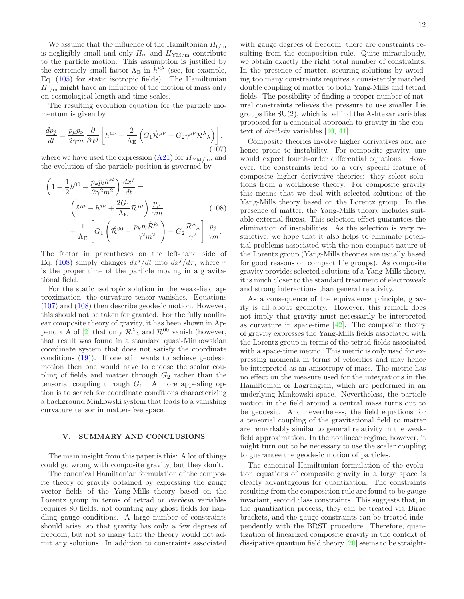We assume that the influence of the Hamiltonian  $H_{t/m}$ is negligibly small and only  $H_{\text{m}}$  and  $H_{\text{YM/m}}$  contribute to the particle motion. This assumption is justified by the extremely small factor  $\Lambda_{\rm E}$  in  $\tilde{h}^{\kappa\lambda}$  (see, for example, Eq. [\(105\)](#page-10-6) for static isotropic fields). The Hamiltonian  $H_{t/m}$  might have an influence of the motion of mass only on cosmological length and time scales.

The resulting evolution equation for the particle momentum is given by

<span id="page-11-2"></span>
$$
\frac{dp_j}{dt} = \frac{p_\mu p_\nu}{2\gamma m} \frac{\partial}{\partial x^j} \left[ h^{\mu\nu} - \frac{2}{\Lambda_E} \left( G_1 \mathring{\mathcal{R}}^{\mu\nu} + G_2 \eta^{\mu\nu} \mathcal{R}^\lambda{}_\lambda \right) \right],\tag{107}
$$

where we have used the expression  $(A21)$  for  $H_{\text{YM/m}}$ , and the evolution of the particle position is governed by

<span id="page-11-1"></span>
$$
\left(1 + \frac{1}{2}h^{00} - \frac{p_k p_l h^{kl}}{2\gamma^2 m^2}\right) \frac{dx^j}{dt} =
$$
\n
$$
\left(\delta^{j\mu} - h^{j\mu} + \frac{2G_1}{\Lambda_E} \mathring{\mathcal{R}}^{j\mu}\right) \frac{p_\mu}{\gamma m} \qquad (108)
$$
\n
$$
+ \frac{1}{\Lambda_E} \left[ G_1 \left(\mathring{\mathcal{R}}^{00} - \frac{p_k p_l \mathring{\mathcal{R}}^{kl}}{\gamma^2 m^2}\right) + G_2 \frac{\mathcal{R}^{\lambda} \lambda}{\gamma^2} \right] \frac{p_j}{\gamma m}.
$$

The factor in parentheses on the left-hand side of Eq. [\(108\)](#page-11-1) simply changes  $dx^{j}/dt$  into  $dx^{j}/d\tau$ , where  $\tau$ is the proper time of the particle moving in a gravitational field.

For the static isotropic solution in the weak-field approximation, the curvature tensor vanishes. Equations [\(107\)](#page-11-2) and [\(108\)](#page-11-1) then describe geodesic motion. However, this should not be taken for granted. For the fully nonlinear composite theory of gravity, it has been shown in Ap-pendix A of [\[2](#page-15-1)] that only  $\mathcal{R}^{\lambda}{}_{\lambda}$  and  $\mathcal{R}^{00}$  vanish (however, that result was found in a standard quasi-Minkowskian coordinate system that does not satisfy the coordinate conditions [\(19\)](#page-3-1)). If one still wants to achieve geodesic motion then one would have to choose the scalar coupling of fields and matter through  $G_2$  rather than the tensorial coupling through  $G_1$ . A more appealing option is to search for coordinate conditions characterizing a background Minkowski system that leads to a vanishing curvature tensor in matter-free space.

# <span id="page-11-0"></span>V. SUMMARY AND CONCLUSIONS

The main insight from this paper is this: A lot of things could go wrong with composite gravity, but they don't.

The canonical Hamiltonian formulation of the composite theory of gravity obtained by expressing the gauge vector fields of the Yang-Mills theory based on the Lorentz group in terms of tetrad or vierbein variables requires 80 fields, not counting any ghost fields for handling gauge conditions. A large number of constraints should arise, so that gravity has only a few degrees of freedom, but not so many that the theory would not admit any solutions. In addition to constraints associated

with gauge degrees of freedom, there are constraints resulting from the composition rule. Quite miraculously, we obtain exactly the right total number of constraints. In the presence of matter, securing solutions by avoiding too many constraints requires a consistently matched double coupling of matter to both Yang-Mills and tetrad fields. The possibility of finding a proper number of natural constraints relieves the pressure to use smaller Lie groups like  $SU(2)$ , which is behind the Ashtekar variables proposed for a canonical approach to gravity in the context of dreibein variables [\[40](#page-16-5), [41](#page-16-6)].

Composite theories involve higher derivatives and are hence prone to instability. For composite gravity, one would expect fourth-order differential equations. However, the constraints lead to a very special feature of composite higher derivative theories: they select solutions from a workhorse theory. For composite gravity this means that we deal with selected solutions of the Yang-Mills theory based on the Lorentz group. In the presence of matter, the Yang-Mills theory includes suitable external fluxes. This selection effect guarantees the elimination of instabilities. As the selection is very restrictive, we hope that it also helps to eliminate potential problems associated with the non-compact nature of the Lorentz group (Yang-Mills theories are usually based for good reasons on compact Lie groups). As composite gravity provides selected solutions of a Yang-Mills theory, it is much closer to the standard treatment of electroweak and strong interactions than general relativity.

As a consequence of the equivalence principle, gravity is all about geometry. However, this remark does not imply that gravity must necessarily be interpreted as curvature in space-time [\[42\]](#page-16-7). The composite theory of gravity expresses the Yang-Mills fields associated with the Lorentz group in terms of the tetrad fields associated with a space-time metric. This metric is only used for expressing momenta in terms of velocities and may hence be interpreted as an anisotropy of mass. The metric has no effect on the measure used for the integrations in the Hamiltonian or Lagrangian, which are performed in an underlying Minkowski space. Nevertheless, the particle motion in the field around a central mass turns out to be geodesic. And nevertheless, the field equations for a tensorial coupling of the gravitational field to matter are remarkably similar to general relativity in the weakfield approximation. In the nonlinear regime, however, it might turn out to be necessary to use the scalar coupling to guarantee the geodesic motion of particles.

The canonical Hamiltonian formulation of the evolution equations of composite gravity in a large space is clearly advantageous for quantization. The constraints resulting from the composition rule are found to be gauge invariant, second class constraints. This suggests that, in the quantization process, they can be treated via Dirac brackets, and the gauge constraints can be treated independently with the BRST procedure. Therefore, quantization of linearized composite gravity in the context of dissipative quantum field theory [\[20](#page-15-15)] seems to be straight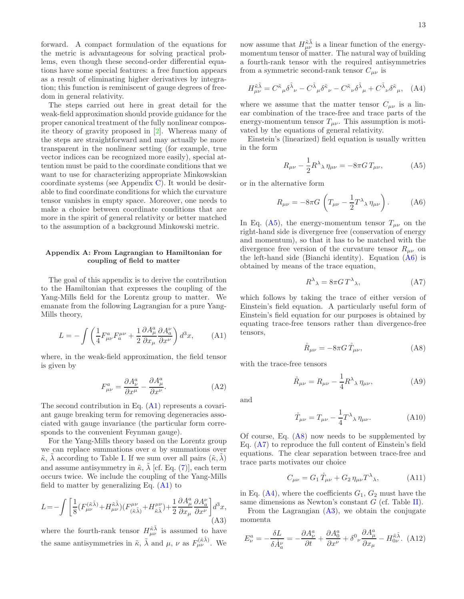forward. A compact formulation of the equations for the metric is advantageous for solving practical problems, even though these second-order differential equations have some special features: a free function appears as a result of eliminating higher derivatives by integration; this function is reminiscent of gauge degrees of freedom in general relativity.

The steps carried out here in great detail for the weak-field approximation should provide guidance for the proper canonical treatment of the fully nonlinear composite theory of gravity proposed in [\[2](#page-15-1)]. Whereas many of the steps are straightforward and may actually be more transparent in the nonlinear setting (for example, true vector indices can be recognized more easily), special attention must be paid to the coordinate conditions that we want to use for characterizing appropriate Minkowskian coordinate systems (see Appendix [C\)](#page-13-3). It would be desirable to find coordinate conditions for which the curvature tensor vanishes in empty space. Moreover, one needs to make a choice between coordinate conditions that are more in the spirit of general relativity or better matched to the assumption of a background Minkowski metric.

# <span id="page-12-0"></span>Appendix A: From Lagrangian to Hamiltonian for coupling of field to matter

The goal of this appendix is to derive the contribution to the Hamiltonian that expresses the coupling of the Yang-Mills field for the Lorentz group to matter. We emanate from the following Lagrangian for a pure Yang-Mills theory,

<span id="page-12-3"></span>
$$
L = -\int \left(\frac{1}{4}F^{a}_{\mu\nu}F^{ \mu\nu}_{a} + \frac{1}{2}\frac{\partial A^{a}_{\mu}}{\partial x_{\mu}}\frac{\partial A^{b}_{a}}{\partial x^{\nu}}\right)d^{3}x, \tag{A1}
$$

where, in the weak-field approximation, the field tensor is given by

<span id="page-12-9"></span>
$$
F^{a}_{\mu\nu} = \frac{\partial A^{a}_{\nu}}{\partial x^{\mu}} - \frac{\partial A^{a}_{\mu}}{\partial x^{\nu}}.
$$
 (A2)

The second contribution in Eq. [\(A1\)](#page-12-3) represents a covariant gauge breaking term for removing degeneracies associated with gauge invariance (the particular form corresponds to the convenient Feynman gauge).

For the Yang-Mills theory based on the Lorentz group we can replace summations over  $a$  by summations over  $\tilde{\kappa}$ ,  $\lambda$  according to Table [I.](#page-2-0) If we sum over all pairs  $(\tilde{\kappa}, \lambda)$ and assume antisymmetry in  $\tilde{\kappa}$ ,  $\tilde{\lambda}$  [cf. Eq. [\(7\)](#page-2-1)], each term occurs twice. We include the coupling of the Yang-Mills field to matter by generalizing Eq.  $(A1)$  to

<span id="page-12-8"></span>
$$
L = -\int \bigg[ \frac{1}{8} (F_{\mu\nu}^{(\tilde{\kappa}\tilde{\lambda})} + H_{\mu\nu}^{\tilde{\kappa}\tilde{\lambda}}) (F_{(\tilde{\kappa}\tilde{\lambda})}^{\mu\nu} + H_{\tilde{\kappa}\tilde{\lambda}}^{\mu\nu}) + \frac{1}{2} \frac{\partial A_{\mu}^{a}}{\partial x_{\mu}} \frac{\partial A_{a}^{\nu}}{\partial x^{\nu}} \bigg] d^{3}x, \tag{A3}
$$

where the fourth-rank tensor  $H_{\mu\nu}^{\tilde{\kappa}\tilde{\lambda}}$  is assumed to have the same antisymmetries in  $\tilde{\kappa}$ ,  $\tilde{\lambda}$  and  $\mu$ ,  $\nu$  as  $F_{\mu\nu}^{(\tilde{\kappa}\tilde{\lambda})}$ . We

now assume that  $H_{\mu\nu}^{\tilde{\kappa}\tilde{\lambda}}$  is a linear function of the energymomentum tensor of matter. The natural way of building a fourth-rank tensor with the required antisymmetries from a symmetric second-rank tensor  $C_{\mu\nu}$  is

<span id="page-12-7"></span>
$$
H^{\tilde{\kappa}\tilde{\lambda}}_{\mu\nu} = C^{\tilde{\kappa}}{}_{\mu}\delta^{\tilde{\lambda}}{}_{\nu} - C^{\tilde{\lambda}}{}_{\mu}\delta^{\tilde{\kappa}}{}_{\nu} - C^{\tilde{\kappa}}{}_{\nu}\delta^{\tilde{\lambda}}{}_{\mu} + C^{\tilde{\lambda}}{}_{\nu}\delta^{\tilde{\kappa}}{}_{\mu}, \quad (A4)
$$

where we assume that the matter tensor  $C_{\mu\nu}$  is a linear combination of the trace-free and trace parts of the energy-momentum tensor  $T_{\mu\nu}$ . This assumption is motivated by the equations of general relativity.

Einstein's (linearized) field equation is usually written in the form

<span id="page-12-4"></span>
$$
R_{\mu\nu} - \frac{1}{2}R^{\lambda}{}_{\lambda}\eta_{\mu\nu} = -8\pi G T_{\mu\nu},\tag{A5}
$$

or in the alternative form

<span id="page-12-2"></span>
$$
R_{\mu\nu} = -8\pi G \left( T_{\mu\nu} - \frac{1}{2} T^{\lambda}{}_{\lambda} \eta_{\mu\nu} \right). \tag{A6}
$$

In Eq. [\(A5\)](#page-12-4), the energy-momentum tensor  $T_{\mu\nu}$  on the right-hand side is divergence free (conservation of energy and momentum), so that it has to be matched with the divergence free version of the curvature tensor  $R_{\mu\nu}$  on the left-hand side (Bianchi identity). Equation [\(A6\)](#page-12-2) is obtained by means of the trace equation,

<span id="page-12-6"></span>
$$
R^{\lambda}{}_{\lambda} = 8\pi G T^{\lambda}{}_{\lambda},\tag{A7}
$$

which follows by taking the trace of either version of Einstein's field equation. A particularly useful form of Einstein's field equation for our purposes is obtained by equating trace-free tensors rather than divergence-free tensors,

<span id="page-12-5"></span>
$$
\mathring{R}_{\mu\nu} = -8\pi G \mathring{T}_{\mu\nu},\tag{A8}
$$

with the trace-free tensors

$$
\mathring{R}_{\mu\nu} = R_{\mu\nu} - \frac{1}{4} R^{\lambda}{}_{\lambda} \eta_{\mu\nu}, \tag{A9}
$$

and

<span id="page-12-1"></span>
$$
\mathring{T}_{\mu\nu} = T_{\mu\nu} - \frac{1}{4} T^{\lambda}{}_{\lambda} \eta_{\mu\nu}.
$$
 (A10)

Of course, Eq. [\(A8\)](#page-12-5) now needs to be supplemented by Eq. [\(A7\)](#page-12-6) to reproduce the full content of Einstein's field equations. The clear separation between trace-free and trace parts motivates our choice

$$
C_{\mu\nu} = G_1 \mathring{T}_{\mu\nu} + G_2 \eta_{\mu\nu} T^{\lambda}, \tag{A11}
$$

in Eq.  $(A4)$ , where the coefficients  $G_1, G_2$  must have the same dimensions as Newton's constant  $G$  (cf. Table [II\)](#page-7-1).

From the Lagrangian [\(A3\)](#page-12-8), we obtain the conjugate momenta

<span id="page-12-10"></span>
$$
E^a_\nu = -\frac{\delta L}{\delta \dot{A}^{\nu}_a} = -\frac{\partial A^a_\nu}{\partial t} + \frac{\partial A^a_0}{\partial x^{\nu}} + \delta^0_{\nu} \frac{\partial A^a_\mu}{\partial x_\mu} - H^{\tilde{\kappa}\tilde{\lambda}}_{0\nu}.
$$
 (A12)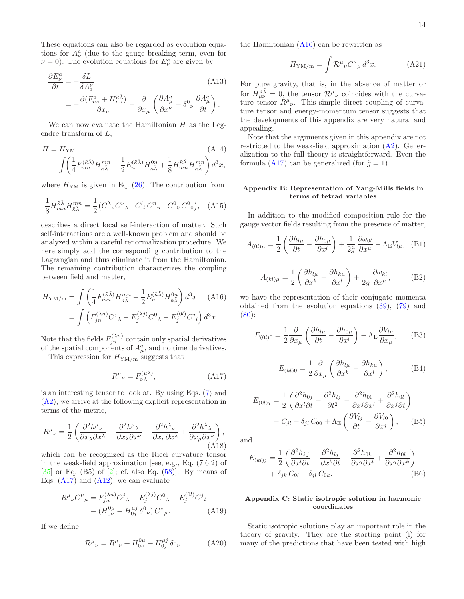These equations can also be regarded as evolution equations for  $A^a_\nu$  (due to the gauge breaking term, even for  $\nu = 0$ ). The evolution equations for  $E^a_\nu$  are given by

$$
\frac{\partial E_{\nu}^{a}}{\partial t} = -\frac{\delta L}{\delta A_{a}^{\nu}} \tag{A13}
$$
\n
$$
= -\frac{\partial (F_{n\nu}^{a} + H_{n\nu}^{\tilde{\kappa}\tilde{\lambda}})}{\partial x_{n}} - \frac{\partial}{\partial x_{\mu}} \left( \frac{\partial A_{\mu}^{a}}{\partial x^{\nu}} - \delta^{0}{}_{\nu} \frac{\partial A_{\mu}^{a}}{\partial t} \right).
$$

We can now evaluate the Hamiltonian  $H$  as the Legendre transform of L,

$$
H = H_{\rm YM} \tag{A14}
$$
  
+ 
$$
\int \left( \frac{1}{4} F_{mn}^{(\tilde{\kappa}\tilde{\lambda})} H_{\tilde{\kappa}\tilde{\lambda}}^{mn} - \frac{1}{2} E_n^{(\tilde{\kappa}\tilde{\lambda})} H_{\tilde{\kappa}\tilde{\lambda}}^{0n} + \frac{1}{8} H_{mn}^{\tilde{\kappa}\tilde{\lambda}} H_{\tilde{\kappa}\tilde{\lambda}}^{mn} \right) d^3 x,
$$

where  $H_{\text{YM}}$  is given in Eq. [\(26\)](#page-3-10). The contribution from

$$
\frac{1}{8} H_{mn}^{\tilde{\kappa}\tilde{\lambda}} H_{\tilde{\kappa}\tilde{\lambda}}^{mn} = \frac{1}{2} \left( C^{\lambda}{}_{\nu} C^{\nu}{}_{\lambda} + C^{l}{}_{l} C^{n}{}_{n} - C^{0}{}_{0} C^{0}{}_{0} \right), \quad (A15)
$$

describes a direct local self-interaction of matter. Such self-interactions are a well-known problem and should be analyzed within a careful renormalization procedure. We here simply add the corresponding contribution to the Lagrangian and thus eliminate it from the Hamiltonian. The remaining contribution characterizes the coupling between field and matter,

<span id="page-13-6"></span>
$$
H_{\rm YM/m} = \int \left(\frac{1}{4} F_{mn}^{(\tilde{\kappa}\tilde{\lambda})} H_{\tilde{\kappa}\tilde{\lambda}}^{mn} - \frac{1}{2} E_n^{(\tilde{\kappa}\tilde{\lambda})} H_{\tilde{\kappa}\tilde{\lambda}}^{0n}\right) d^3 x \quad \text{(A16)}
$$

$$
= \int \left(F_{jn}^{(\lambda n)} C^j \lambda - E_j^{(\lambda j)} C^0 \lambda - E_j^{(0 l)} C^j \iota\right) d^3 x.
$$

Note that the fields  $F_{jn}^{(\lambda n)}$  contain only spatial derivatives of the spatial components of  $A^a_\mu$ , and no time derivatives.

This expression for  $H_{\text{YM/m}}$  suggests that

<span id="page-13-5"></span>
$$
R^{\mu}{}_{\nu} = F^{(\mu\lambda)}_{\nu\lambda},\tag{A17}
$$

is an interesting tensor to look at. By using Eqs. [\(7\)](#page-2-1) and [\(A2\)](#page-12-9), we arrive at the following explicit representation in terms of the metric,

<span id="page-13-2"></span>
$$
R^{\mu}{}_{\nu} = \frac{1}{2} \left( \frac{\partial^2 h^{\mu}{}_{\nu}}{\partial x_{\lambda} \partial x^{\lambda}} - \frac{\partial^2 h^{\mu}{}_{\lambda}}{\partial x_{\lambda} \partial x^{\nu}} - \frac{\partial^2 h^{\lambda}{}_{\nu}}{\partial x_{\mu} \partial x^{\lambda}} + \frac{\partial^2 h^{\lambda}{}_{\lambda}}{\partial x_{\mu} \partial x^{\nu}} \right),
$$
(A18)

which can be recognized as the Ricci curvature tensor in the weak-field approximation [see, e.g., Eq. (7.6.2) of  $[35]$  or Eq. (B5) of  $[2]$ ; cf. also Eq. [\(58\)](#page-6-1). By means of Eqs.  $(A17)$  and  $(A12)$ , we can evaluate

$$
R^{\mu}{}_{\nu}C^{\nu}{}_{\mu} = F^{(\lambda n)}_{jn}C^{j}{}_{\lambda} - E^{(\lambda j)}_{j}C^{0}{}_{\lambda} - E^{(0 l)}_{j}C^{j}{}_{l}
$$

$$
- (H^{0 \mu}_{0 \nu} + H^{ \mu j}_{0 j} \delta^{0}{}_{\nu}) C^{\nu}{}_{\mu}. \tag{A19}
$$

If we define

$$
\mathcal{R}^{\mu}{}_{\nu} = R^{\mu}{}_{\nu} + H^{0\mu}_{0\nu} + H^{\mu j}_{0j} \delta^{0}{}_{\nu}, \tag{A20}
$$

the Hamiltonian  $(A16)$  can be rewritten as

<span id="page-13-4"></span>
$$
H_{\rm YM/m} = \int \mathcal{R}^{\mu}{}_{\nu} C^{\nu}{}_{\mu} d^3 x. \tag{A21}
$$

For pure gravity, that is, in the absence of matter or for  $H_{\mu\nu}^{\tilde{\kappa}\tilde{\lambda}} = 0$ , the tensor  $\mathcal{R}^{\mu}{}_{\nu}$  coincides with the curvature tensor  $R^{\mu}{}_{\nu}$ . This simple direct coupling of curvature tensor and energy-momentum tensor suggests that the developments of this appendix are very natural and appealing.

Note that the arguments given in this appendix are not restricted to the weak-field approximation [\(A2\)](#page-12-9). Generalization to the full theory is straightforward. Even the formula [\(A17\)](#page-13-5) can be generalized (for  $\tilde{q} = 1$ ).

# <span id="page-13-1"></span>Appendix B: Representation of Yang-Mills fields in terms of tetrad variables

In addition to the modified composition rule for the gauge vector fields resulting from the presence of matter,

$$
A_{(0l)\mu} = \frac{1}{2} \left( \frac{\partial h_{l\mu}}{\partial t} - \frac{\partial h_{0\mu}}{\partial x^l} \right) + \frac{1}{2\tilde{g}} \frac{\partial \omega_{0l}}{\partial x^{\mu}} - \Lambda_{\mathcal{E}} V_{l\mu}, \quad (B1)
$$

$$
A_{(kl)\mu} = \frac{1}{2} \left( \frac{\partial h_{l\mu}}{\partial x^k} - \frac{\partial h_{k\mu}}{\partial x^l} \right) + \frac{1}{2\tilde{g}} \frac{\partial \omega_{kl}}{\partial x^\mu},
$$
 (B2)

we have the representation of their conjugate momenta obtained from the evolution equations [\(39\)](#page-4-8), [\(79\)](#page-8-2) and  $(80):$  $(80):$ 

$$
E_{(0l)0} = \frac{1}{2} \frac{\partial}{\partial x_{\mu}} \left( \frac{\partial h_{l\mu}}{\partial t} - \frac{\partial h_{0\mu}}{\partial x^{l}} \right) - \Lambda_{\rm E} \frac{\partial V_{l\mu}}{\partial x_{\mu}}, \quad (B3)
$$

$$
E_{(kl)0} = \frac{1}{2} \frac{\partial}{\partial x_{\mu}} \left( \frac{\partial h_{l\mu}}{\partial x^{k}} - \frac{\partial h_{k\mu}}{\partial x^{l}} \right), \tag{B4}
$$

$$
E_{(0l)j} = \frac{1}{2} \left( \frac{\partial^2 h_{0j}}{\partial x^l \partial t} - \frac{\partial^2 h_{lj}}{\partial t^2} - \frac{\partial^2 h_{00}}{\partial x^j \partial x^l} + \frac{\partial^2 h_{0l}}{\partial x^j \partial t} \right) + C_{jl} - \delta_{jl} C_{00} + \Lambda_{\mathcal{E}} \left( \frac{\partial V_{lj}}{\partial t} - \frac{\partial V_{l0}}{\partial x^j} \right), \quad (B5)
$$

and

<span id="page-13-0"></span>
$$
E_{(kl)j} = \frac{1}{2} \left( \frac{\partial^2 h_{kj}}{\partial x^l \partial t} - \frac{\partial^2 h_{lj}}{\partial x^k \partial t} - \frac{\partial^2 h_{0k}}{\partial x^j \partial x^l} + \frac{\partial^2 h_{0l}}{\partial x^j \partial x^k} \right) + \delta_{jk} C_{0l} - \delta_{jl} C_{0k}.
$$
 (B6)

# <span id="page-13-3"></span>Appendix C: Static isotropic solution in harmonic coordinates

Static isotropic solutions play an important role in the theory of gravity. They are the starting point (i) for many of the predictions that have been tested with high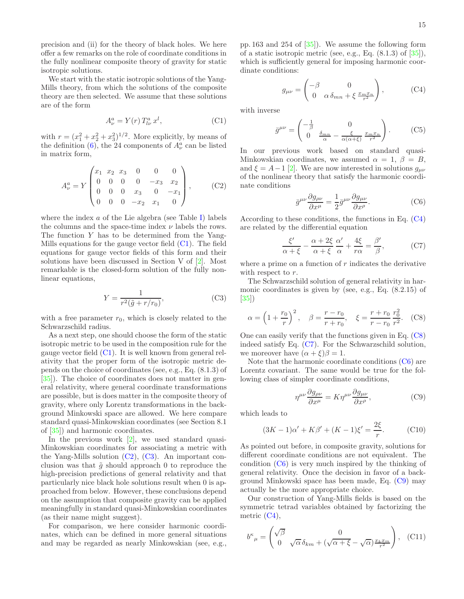precision and (ii) for the theory of black holes. We here offer a few remarks on the role of coordinate conditions in the fully nonlinear composite theory of gravity for static isotropic solutions.

We start with the static isotropic solutions of the Yang-Mills theory, from which the solutions of the composite theory are then selected. We assume that these solutions are of the form

<span id="page-14-0"></span>
$$
A^a_\nu = Y(r) T^a_{l\nu} x^l, \qquad (C1)
$$

with  $r = (x_1^2 + x_2^2 + x_3^2)^{1/2}$ . More explicitly, by means of the definition [\(6\)](#page-1-3), the 24 components of  $A^a_\nu$  can be listed in matrix form,

<span id="page-14-1"></span>
$$
A_{\nu}^{a} = Y \begin{pmatrix} x_{1} & x_{2} & x_{3} & 0 & 0 & 0 \\ 0 & 0 & 0 & 0 & -x_{3} & x_{2} \\ 0 & 0 & 0 & x_{3} & 0 & -x_{1} \\ 0 & 0 & 0 & -x_{2} & x_{1} & 0 \end{pmatrix}, \qquad (C2)
$$

where the index  $a$  of the Lie algebra (see Table [I\)](#page-2-0) labels the columns and the space-time index  $\nu$  labels the rows. The function Y has to be determined from the Yang-Mills equations for the gauge vector field [\(C1\)](#page-14-0). The field equations for gauge vector fields of this form and their solutions have been discussed in Section V of [\[2\]](#page-15-1). Most remarkable is the closed-form solution of the fully nonlinear equations,

<span id="page-14-2"></span>
$$
Y = \frac{1}{r^2(\tilde{g} + r/r_0)},\tag{C3}
$$

with a free parameter  $r_0$ , which is closely related to the Schwarzschild radius.

As a next step, one should choose the form of the static isotropic metric to be used in the composition rule for the gauge vector field [\(C1\)](#page-14-0). It is well known from general relativity that the proper form of the isotropic metric depends on the choice of coordinates (see, e.g., Eq. (8.1.3) of [\[35\]](#page-16-1)). The choice of coordinates does not matter in general relativity, where general coordinate transformations are possible, but is does matter in the composite theory of gravity, where only Lorentz transformations in the background Minkowski space are allowed. We here compare standard quasi-Minkowskian coordinates (see Section 8.1 of [\[35](#page-16-1)]) and harmonic coordinates.

In the previous work [\[2](#page-15-1)], we used standard quasi-Minkowskian coordinates for associating a metric with the Yang-Mills solution  $(C2)$ ,  $(C3)$ . An important conclusion was that  $\tilde{g}$  should approach 0 to reproduce the high-precision predictions of general relativity and that particularly nice black hole solutions result when 0 is approached from below. However, these conclusions depend on the assumption that composite gravity can be applied meaningfully in standard quasi-Minkowskian coordinates (as their name might suggest).

For comparison, we here consider harmonic coordinates, which can be defined in more general situations and may be regarded as nearly Minkowskian (see, e.g.,

pp. 163 and 254 of  $[35]$ . We assume the following form of a static isotropic metric (see, e.g., Eq.  $(8.1.3)$  of  $[35]$ ), which is sufficiently general for imposing harmonic coordinate conditions:

<span id="page-14-3"></span>
$$
g_{\mu\nu} = \begin{pmatrix} -\beta & 0\\ 0 & \alpha \,\delta_{mn} + \xi \,\frac{x_m x_n}{r^2} \end{pmatrix},\tag{C4}
$$

with inverse

$$
\bar{g}^{\mu\nu} = \begin{pmatrix} -\frac{1}{\beta} & 0\\ 0 & \frac{\delta_{mn}}{\alpha} - \frac{\xi}{\alpha(\alpha+\xi)} \frac{x_m x_n}{r^2} \end{pmatrix} . \tag{C5}
$$

In our previous work based on standard quasi-Minkowskian coordinates, we assumed  $\alpha = 1, \beta = B$ , and  $\xi = A-1$  [\[2](#page-15-1)]. We are now interested in solutions  $g_{\mu\nu}$ of the nonlinear theory that satisfy the harmonic coordinate conditions

<span id="page-14-6"></span>
$$
\bar{g}^{\mu\nu}\frac{\partial g_{\rho\nu}}{\partial x^{\mu}} = \frac{1}{2}\bar{g}^{\mu\nu}\frac{\partial g_{\mu\nu}}{\partial x^{\rho}}.
$$
 (C6)

According to these conditions, the functions in Eq.  $(C4)$ are related by the differential equation

<span id="page-14-5"></span>
$$
\frac{\xi'}{\alpha + \xi} - \frac{\alpha + 2\xi}{\alpha + \xi} \frac{\alpha'}{\alpha} + \frac{4\xi}{r\alpha} = \frac{\beta'}{\beta},
$$
 (C7)

where a prime on a function of  $r$  indicates the derivative with respect to r.

The Schwarzschild solution of general relativity in harmonic coordinates is given by (see, e.g., Eq. (8.2.15) of [\[35\]](#page-16-1))

<span id="page-14-4"></span>
$$
\alpha = \left(1 + \frac{r_0}{r}\right)^2, \quad \beta = \frac{r - r_0}{r + r_0}, \quad \xi = \frac{r + r_0}{r - r_0} \frac{r_0^2}{r^2}.
$$
 (C8)

One can easily verify that the functions given in Eq. [\(C8\)](#page-14-4) indeed satisfy Eq.  $(C7)$ . For the Schwarzschild solution, we moreover have  $(\alpha + \xi)\beta = 1$ .

Note that the harmonic coordinate conditions [\(C6\)](#page-14-6) are Lorentz covariant. The same would be true for the following class of simpler coordinate conditions,

<span id="page-14-7"></span>
$$
\eta^{\mu\nu}\frac{\partial g_{\rho\nu}}{\partial x^{\mu}} = K \eta^{\mu\nu}\frac{\partial g_{\mu\nu}}{\partial x^{\rho}},\tag{C9}
$$

which leads to

$$
(3K - 1)\alpha' + K\beta' + (K - 1)\xi' = \frac{2\xi}{r}.
$$
 (C10)

As pointed out before, in composite gravity, solutions for different coordinate conditions are not equivalent. The condition  $(C6)$  is very much inspired by the thinking of general relativity. Once the decision in favor of a background Minkowski space has been made, Eq. [\(C9\)](#page-14-7) may actually be the more appropriate choice.

Our construction of Yang-Mills fields is based on the symmetric tetrad variables obtained by factorizing the metric [\(C4\)](#page-14-3),

$$
b^{\kappa}{}_{\mu} = \begin{pmatrix} \sqrt{\beta} & 0\\ 0 & \sqrt{\alpha} \,\delta_{km} + (\sqrt{\alpha + \xi} - \sqrt{\alpha}) \frac{x_k x_m}{r^2} \end{pmatrix}, \quad \text{(C11)}
$$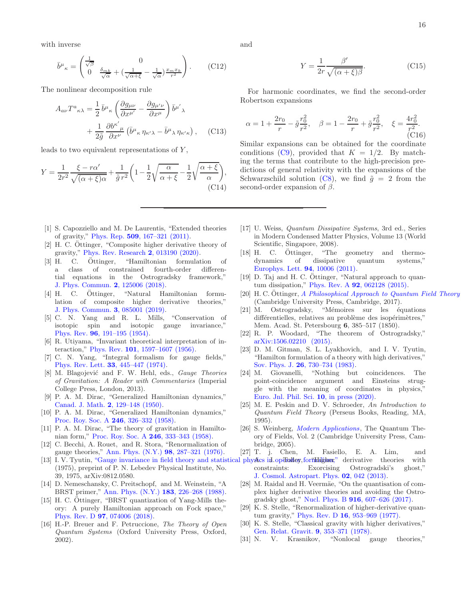with inverse

$$
\bar{b}^{\mu}{}_{\kappa} = \begin{pmatrix} \frac{1}{\sqrt{\beta}} & 0\\ 0 & \frac{\delta_{mk}}{\sqrt{\alpha}} + \left(\frac{1}{\sqrt{\alpha+\xi}} - \frac{1}{\sqrt{\alpha}}\right) \frac{x_m x_k}{r^2} \end{pmatrix} . \tag{C12}
$$

The nonlinear decomposition rule

$$
A_{a\nu}T^{a}{}_{\kappa\lambda} = \frac{1}{2}\bar{b}^{\mu}{}_{\kappa}\left(\frac{\partial g_{\mu\nu}}{\partial x^{\mu'}} - \frac{\partial g_{\mu'\nu}}{\partial x^{\mu}}\right)\bar{b}^{\mu'}{}_{\lambda} + \frac{1}{2\tilde{g}}\frac{\partial b^{\kappa'}{}_{\mu}}{\partial x^{\nu}}\left(\bar{b}^{\mu}{}_{\kappa}\eta_{\kappa'\lambda} - \bar{b}^{\mu}{}_{\lambda}\eta_{\kappa'\kappa}\right), \quad \text{(C13)}
$$

leads to two equivalent representations of  $Y$ ,

$$
Y = \frac{1}{2r^2} \frac{\xi - r\alpha'}{\sqrt{(\alpha + \xi)\alpha}} + \frac{1}{\tilde{g}} \frac{1}{r^2} \left( 1 - \frac{1}{2} \sqrt{\frac{\alpha}{\alpha + \xi}} - \frac{1}{2} \sqrt{\frac{\alpha + \xi}{\alpha}} \right),\tag{C14}
$$

and

$$
Y = \frac{1}{2r} \frac{\beta'}{\sqrt{(\alpha + \xi)\beta}}.\tag{C15}
$$

For harmonic coordinates, we find the second-order Robertson expansions

$$
\alpha = 1 + \frac{2r_0}{r} - \tilde{g}\frac{r_0^2}{r^2}, \quad \beta = 1 - \frac{2r_0}{r} + \tilde{g}\frac{r_0^2}{r^2}, \quad \xi = \frac{4r_0^2}{r^2}.
$$
 (C16)

Similar expansions can be obtained for the coordinate conditions [\(C9\)](#page-14-7), provided that  $K = 1/2$ . By matching the terms that contribute to the high-precision predictions of general relativity with the expansions of the Schwarzschild solution [\(C8\)](#page-14-4), we find  $\tilde{g} = 2$  from the second-order expansion of  $\beta$ .

- <span id="page-15-0"></span>[1] S. Capozziello and M. De Laurentis, "Extended theories of gravity," Phys. Rep. 509[, 167–321 \(2011\).](http://dx.doi.org/10.1016/j.physrep.2011.09.003)
- <span id="page-15-1"></span>[2] H. C. Ottinger, "Composite higher derivative theory of gravity," [Phys. Rev. Research](http://dx.doi.org/ 10.1103/PhysRevResearch.2.013190) 2, 013190 (2020).
- <span id="page-15-2"></span> $[3]$  H. C.  $\ddot{\text{O}}$ ttinger, "Hamiltonian formulation of a class of constrained fourth-order differential equations in the Ostrogradsky framework," [J. Phys. Commun.](http://dx.doi.org/ 10.1088/2399-6528/aaf6f2) 2, 125006 (2018).
- <span id="page-15-3"></span> $[4]$  H. C. Ottinger, "Natural Hamiltonian formulation of composite higher derivative theories," [J. Phys. Commun.](http://dx.doi.org/10.1088/2399-6528/ab3634) 3, 085001 (2019).
- <span id="page-15-4"></span>[5] C. N. Yang and R. L. Mills, "Conservation of isotopic spin and isotopic gauge invariance," Phys. Rev. 96[, 191–195 \(1954\).](http://dx.doi.org/ 10.1103/PhysRev.96.191)
- <span id="page-15-5"></span>[6] R. Utiyama, "Invariant theoretical interpretation of interaction," Phys. Rev. 101[, 1597–1607 \(1956\).](http://dx.doi.org/ 10.1103/PhysRev.101.1597)
- [7] C. N. Yang, "Integral formalism for gauge fields," Phys. Rev. Lett. 33[, 445–447 \(1974\).](http://dx.doi.org/10.1103/PhysRevLett.33.445)
- <span id="page-15-6"></span>[8] M. Blagojević and F. W. Hehl, eds., *Gauge Theories* of Gravitation: A Reader with Commentaries (Imperial College Press, London, 2013).
- <span id="page-15-7"></span>[9] P. A. M. Dirac, "Generalized Hamiltonian dynamics," Canad. J. Math. 2[, 129–148 \(1950\).](http://dx.doi.org/ 10.4153/CJM-1950-012-1)
- [10] P. A. M. Dirac, "Generalized Hamiltonian dynamics," [Proc. Roy. Soc. A](http://dx.doi.org/ 10.1098/rspa.1958.0141) 246, 326–332 (1958).
- <span id="page-15-8"></span>[11] P. A. M. Dirac, "The theory of gravitation in Hamiltonian form," [Proc. Roy. Soc. A](http://dx.doi.org/ 10.1098/rspa.1958.0142) 246, 333–343 (1958).
- <span id="page-15-9"></span>[12] C. Becchi, A. Rouet, and R. Stora, "Renormalization of gauge theories," [Ann. Phys. \(N.Y.\)](http://dx.doi.org/10.1016/0003-4916(76)90156-1) 98, 287–321 (1976).
- <span id="page-15-10"></span>[13] I. V. Tyutin, ["Gauge invariance in field theory and statistical physics in](https://arxiv.org/abs/0812.0580) operator for the statistic theories with (1975), preprint of P. N. Lebedev Physical Institute, No. 39, 1975, arXiv:0812.0580.
- <span id="page-15-11"></span>[14] D. Nemeschansky, C. Preitschopf, and M. Weinstein, "A BRST primer," [Ann. Phys. \(N.Y.\)](http://dx.doi.org/10.1016/0003-4916(88)90233-3) 183, 226–268 (1988).
- <span id="page-15-12"></span>[15] H. C. Ottinger, "BRST quantization of Yang-Mills theory: A purely Hamiltonian approach on Fock space," Phys. Rev. D 97[, 074006 \(2018\).](http://dx.doi.org/10.1103/PhysRevD.97.074006)
- <span id="page-15-13"></span>[16] H.-P. Breuer and F. Petruccione, The Theory of Open Quantum Systems (Oxford University Press, Oxford, 2002).
- [17] U. Weiss, Quantum Dissipative Systems, 3rd ed., Series in Modern Condensed Matter Physics, Volume 13 (World Scientific, Singapore, 2008).
- [18] H. C. Ottinger, "The geometry and thermodynamics of dissipative quantum systems," [Europhys. Lett.](http://dx.doi.org/10.1209/0295-5075/94/10006) 94, 10006 (2011).
- <span id="page-15-14"></span>[19] D. Taj and H. C.  $\ddot{\text{O}}$ ttinger, "Natural approach to quantum dissipation," Phys. Rev. A 92[, 062128 \(2015\).](http://dx.doi.org/ 10.1103/PhysRevA.92.062128)
- <span id="page-15-15"></span>[20] H. C. Ottinger, [A Philosophical Approach to Quantum Field Theory](http://dx.doi.org/10.1017/9781108227667) (Cambridge University Press, Cambridge, 2017).
- <span id="page-15-16"></span>[21] M. Ostrogradsky, "Mémoires sur les équations différentielles, relatives au problème des isopérimètres." Mem. Acad. St. Petersbourg 6, 385–517 (1850).
- <span id="page-15-21"></span>[22] R. P. Woodard, "The theorem of Ostrogradsky," [arXiv:1506.02210 \(2015\).](https://arxiv.org/abs/1506.02210)
- <span id="page-15-17"></span>[23] D. M. Gitman, S. L. Lyakhovich, and I. V. Tyutin, "Hamilton formulation of a theory with high derivatives," Sov. Phys. J. 26[, 730–734 \(1983\).](http://dx.doi.org/ 10.1007/BF00898884)
- <span id="page-15-18"></span>[24] M. Giovanelli, "Nothing but coincidences. The point-coincidence argument and Einsteins struggle with the meaning of coordinates in physics," [Euro. Jnl. Phil. Sci.](http://philsci-archive.pitt.edu/16830/1/COINCIDENCES FINAL.pdf) 10, in press (2020).
- <span id="page-15-19"></span>[25] M. E. Peskin and D. V. Schroeder, An Introduction to Quantum Field Theory (Perseus Books, Reading, MA, 1995).
- <span id="page-15-20"></span>[26] S. Weinberg, *[Modern Applications](http://dx.doi.org/10.1017/CBO9781139644174)*, The Quantum Theory of Fields, Vol. 2 (Cambridge University Press, Cambridge, 2005).
- <span id="page-15-22"></span>[27] T. j. Chen, M. Fasiello, E. A. Lim, and
- constraints: Exorcising Ostrogradski's ghost," [J. Cosmol. Astropart. Phys.](http://dx.doi.org/ 10.1088/1475-7516/2013/02/042) 02, 042 (2013).
- [28] M. Raidal and H. Veermäe, "On the quantisation of complex higher derivative theories and avoiding the Ostrogradsky ghost," Nucl. Phys. B 916[, 607–626 \(2017\).](http://dx.doi.org/10.1016/j.nuclphysb.2017.01.024)
- [29] K. S. Stelle, "Renormalization of higher-derivative quantum gravity," Phys. Rev. D 16[, 953–969 \(1977\).](http://dx.doi.org/ 10.1103/PhysRevD.16.953)
- [30] K. S. Stelle, "Classical gravity with higher derivatives," [Gen. Relat. Gravit.](http://dx.doi.org/10.1007/BF00760427) 9, 353–371 (1978).
- [31] N. V. Krasnikov, "Nonlocal gauge theories,"